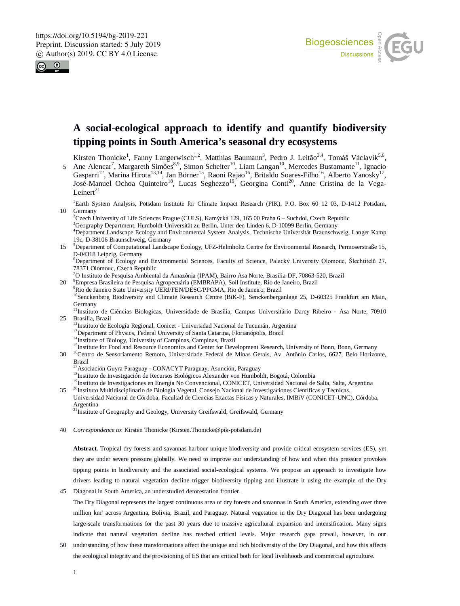



# **A social-ecological approach to identify and quantify biodiversity tipping points in South America's seasonal dry ecosystems**

Kirsten Thonicke<sup>1</sup>, Fanny Langerwisch<sup>1,2</sup>, Matthias Baumann<sup>3</sup>, Pedro J. Leitão<sup>3,4</sup>, Tomáš Václavík<sup>5,6</sup>, 5 Ane Alencar<sup>7</sup>, Margareth Simões<sup>8,9</sup>, Simon Scheiter<sup>10</sup>, Liam Langan<sup>10</sup>, Mercedes Bustamante<sup>11</sup>, Ignacio Gasparri<sup>12</sup>, Marina Hirota<sup>13,14</sup>, Jan Börner<sup>15</sup>, Raoni Rajao<sup>16</sup>, Britaldo Soares-Filho<sup>16</sup>, Alberto Yanosky<sup>17</sup>, José-Manuel Ochoa Quinteiro<sup>18</sup>, Lucas Seghezzo<sup>19</sup>, Georgina Conti<sup>20</sup>, Anne Cristina de la Vega-Leinert $^{21}$ 

<sup>1</sup>Earth System Analysis, Potsdam Institute for Climate Impact Research (PIK), P.O. Box 60 12 03, D-1412 Potsdam, 10 Germany

<sup>2</sup> Czech University of Life Sciences Prague (CULS), Kamýcká 129, 165 00 Praha 6 – Suchdol, Czech Republic <sup>3</sup>Geography Department, Humboldt-Universität zu Berlin, Unter den Linden 6, D-10099 Berlin, Germany Department Landscape Ecology and Environmental System Analysis, Technische Universität Braunschweig, Langer Kamp

19c, D-38106 Braunschweig, Germany<br>
15 <sup>5</sup> Department of Computational Landscape Ecology, UFZ-Helmholtz Centre for Environmental Research, Permoserstraße 15, D-04318 Leipzig, Germany <sup>6</sup> <sup>6</sup>Department of Ecology and Environmental Sciences, Faculty of Science, Palacký University Olomouc, Šlechtitelů 27, 78371 Olomouc, Czech Republic <sup>7</sup>O Instituto de Pesquisa Ambiental da Amazônia (IPAM), Bairro Asa Norte, Brasilia-DF, 70863-520, Brazil

<sup>8</sup>Empresa Brasileira de Pesquisa Agropecuária (EMBRAPA), Soil Institute, Rio de Janeiro, Brazil<sup>9</sup>Rio de Janeiro State University UERJ/FEN/DESC/PPGMA, Rio de Janeiro, Brazil  $10$ Senckenberg Biodiversity and Climate Research Centre (BiK-F), Senckenberganlage 25, D-60325 Frankfurt am Main, Germany

11Instituto de Ciências Biologicas, Universidade de Brasília, Campus Universitário Darcy Ribeiro - Asa Norte, 70910 25 Brasília, Brazil<br><sup>12</sup>Instituto de Ecología Regional, Conicet - Universidad Nacional de Tucumán, Argentina

<sup>13</sup>Department of Physics, Federal University of Santa Catarina, Florianópolis, Brazil<br><sup>14</sup>Institute of Biology, University of Campinas, Campinas, Brazil<br><sup>15</sup>Institute for Food and Resource Economics and Center for Develo Brazil<br><sup>17</sup>Asociación Guyra Paraguay - CONACYT Paraguay, Asunción, Paraguay

 $^{18}$ Instituto de Investigación de Recursos Biológicos Alexander von Humboldt, Bogotá, Colombia

- <sup>19</sup>Instituto de Investigaciones en Energía No Convencional, CONICET, Universidad Nacional de Salta, Salta, Argentina  $35^{20}$ Instituto Multidisciplinario de Biología Vegetal, Consejo Nacional de Investigaciones Científic
- Universidad Nacional de Córdoba, Facultad de Ciencias Exactas Físicas y Naturales, IMBiV (CONICET-UNC), Córdoba, Argentina 21Institute of Geography and Geology, University Greifswald, Greifswald, Germany
- 40 *Correspondence to*: Kirsten Thonicke (Kirsten.Thonicke@pik-potsdam.de)

**Abstract.** Tropical dry forests and savannas harbour unique biodiversity and provide critical ecosystem services (ES), yet they are under severe pressure globally. We need to improve our understanding of how and when this pressure provokes tipping points in biodiversity and the associated social-ecological systems. We propose an approach to investigate how drivers leading to natural vegetation decline trigger biodiversity tipping and illustrate it using the example of the Dry

Diagonal in South America, an understudied deforestation frontier. 45

The Dry Diagonal represents the largest continuous area of dry forests and savannas in South America, extending over three million km² across Argentina, Bolivia, Brazil, and Paraguay. Natural vegetation in the Dry Diagonal has been undergoing large-scale transformations for the past 30 years due to massive agricultural expansion and intensification. Many signs indicate that natural vegetation decline has reached critical levels. Major research gaps prevail, however, in our

50 understanding of how these transformations affect the unique and rich biodiversity of the Dry Diagonal, and how this affects the ecological integrity and the provisioning of ES that are critical both for local livelihoods and commercial agriculture.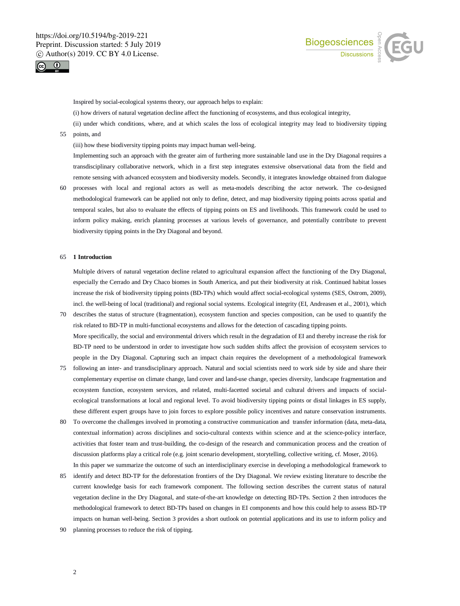



Inspired by social-ecological systems theory, our approach helps to explain:

(i) how drivers of natural vegetation decline affect the functioning of ecosystems, and thus ecological integrity,

(ii) under which conditions, where, and at which scales the loss of ecological integrity may lead to biodiversity tipping 55 points, and

(iii) how these biodiversity tipping points may impact human well-being.

Implementing such an approach with the greater aim of furthering more sustainable land use in the Dry Diagonal requires a transdisciplinary collaborative network, which in a first step integrates extensive observational data from the field and remote sensing with advanced ecosystem and biodiversity models. Secondly, it integrates knowledge obtained from dialogue

60 processes with local and regional actors as well as meta-models describing the actor network. The co-designed methodological framework can be applied not only to define, detect, and map biodiversity tipping points across spatial and temporal scales, but also to evaluate the effects of tipping points on ES and livelihoods. This framework could be used to inform policy making, enrich planning processes at various levels of governance, and potentially contribute to prevent biodiversity tipping points in the Dry Diagonal and beyond.

## 65 **1 Introduction**

Multiple drivers of natural vegetation decline related to agricultural expansion affect the functioning of the Dry Diagonal, especially the Cerrado and Dry Chaco biomes in South America, and put their biodiversity at risk. Continued habitat losses increase the risk of biodiversity tipping points (BD-TPs) which would affect social-ecological systems (SES, Ostrom, 2009), incl. the well-being of local (traditional) and regional social systems. Ecological integrity (EI, Andreasen et al., 2001), which

- 70 describes the status of structure (fragmentation), ecosystem function and species composition, can be used to quantify the risk related to BD-TP in multi-functional ecosystems and allows for the detection of cascading tipping points. More specifically, the social and environmental drivers which result in the degradation of EI and thereby increase the risk for BD-TP need to be understood in order to investigate how such sudden shifts affect the provision of ecosystem services to people in the Dry Diagonal. Capturing such an impact chain requires the development of a methodological framework
- 75 following an inter- and transdisciplinary approach. Natural and social scientists need to work side by side and share their complementary expertise on climate change, land cover and land-use change, species diversity, landscape fragmentation and ecosystem function, ecosystem services, and related, multi-facetted societal and cultural drivers and impacts of socialecological transformations at local and regional level. To avoid biodiversity tipping points or distal linkages in ES supply, these different expert groups have to join forces to explore possible policy incentives and nature conservation instruments.
- 80 To overcome the challenges involved in promoting a constructive communication and transfer information (data, meta-data, contextual information) across disciplines and socio-cultural contexts within science and at the science-policy interface, activities that foster team and trust-building, the co-design of the research and communication process and the creation of discussion platforms play a critical role (e.g. joint scenario development, storytelling, collective writing, cf. Moser, 2016). In this paper we summarize the outcome of such an interdisciplinary exercise in developing a methodological framework to
- 85 identify and detect BD-TP for the deforestation frontiers of the Dry Diagonal. We review existing literature to describe the current knowledge basis for each framework component. The following section describes the current status of natural vegetation decline in the Dry Diagonal, and state-of-the-art knowledge on detecting BD-TPs. Section 2 then introduces the methodological framework to detect BD-TPs based on changes in EI components and how this could help to assess BD-TP impacts on human well-being. Section 3 provides a short outlook on potential applications and its use to inform policy and
- 90 planning processes to reduce the risk of tipping.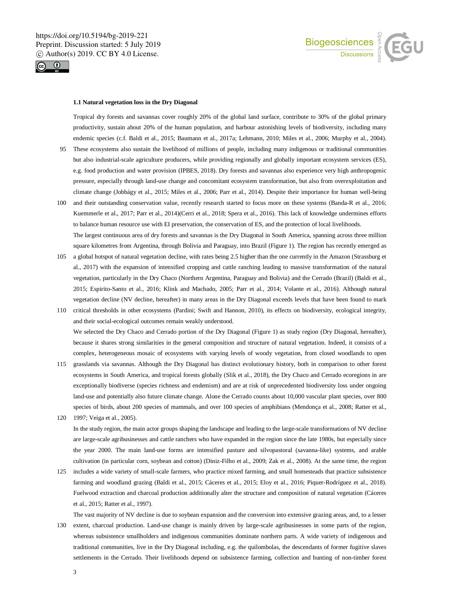

# **1.1 Natural vegetation loss in the Dry Diagonal**

Tropical dry forests and savannas cover roughly 20% of the global land surface, contribute to 30% of the global primary productivity, sustain about 20% of the human population, and harbour astonishing levels of biodiversity, including many endemic species (c.f. Baldi et al., 2015; Baumann et al., 2017a; Lehmann, 2010; Miles et al., 2006; Murphy et al., 2004).

- 95 These ecosystems also sustain the livelihood of millions of people, including many indigenous or traditional communities but also industrial-scale agriculture producers, while providing regionally and globally important ecosystem services (ES), e.g. food production and water provision (IPBES, 2018). Dry forests and savannas also experience very high anthropogenic pressure, especially through land-use change and concomitant ecosystem transformation, but also from overexploitation and climate change (Jobbágy et al., 2015; Miles et al., 2006; Parr et al., 2014). Despite their importance for human well-being
- 100 and their outstanding conservation value, recently research started to focus more on these systems (Banda-R et al., 2016; Kuemmerle et al., 2017; Parr et al., 2014)(Cerri et al., 2018; Spera et al., 2016). This lack of knowledge undermines efforts to balance human resource use with EI preservation, the conservation of ES, and the protection of local livelihoods. The largest continuous area of dry forests and savannas is the Dry Diagonal in South America, spanning across three million square kilometres from Argentina, through Bolivia and Paraguay, into Brazil (Figure 1). The region has recently emerged as
- 105 a global hotspot of natural vegetation decline, with rates being 2.5 higher than the one currently in the Amazon (Strassburg et al., 2017) with the expansion of intensified cropping and cattle ranching leading to massive transformation of the natural vegetation, particularly in the Dry Chaco (Northern Argentina, Paraguay and Bolivia) and the Cerrado (Brazil) (Baldi et al., 2015; Espirito-Santo et al., 2016; Klink and Machado, 2005; Parr et al., 2014; Volante et al., 2016). Although natural vegetation decline (NV decline, hereafter) in many areas in the Dry Diagonal exceeds levels that have been found to mark
- 110 critical thresholds in other ecosystems (Pardini; Swift and Hannon, 2010), its effects on biodiversity, ecological integrity, and their social-ecological outcomes remain weakly understood. We selected the Dry Chaco and Cerrado portion of the Dry Diagonal (Figure 1) as study region (Dry Diagonal, hereafter), because it shares strong similarities in the general composition and structure of natural vegetation. Indeed, it consists of a complex, heterogeneous mosaic of ecosystems with varying levels of woody vegetation, from closed woodlands to open
- 115 grasslands via savannas. Although the Dry Diagonal has distinct evolutionary history, both in comparison to other forest ecosystems in South America, and tropical forests globally (Slik et al., 2018), the Dry Chaco and Cerrado ecoregions in are exceptionally biodiverse (species richness and endemism) and are at risk of unprecedented biodiversity loss under ongoing land-use and potentially also future climate change. Alone the Cerrado counts about 10,000 vascular plant species, over 800 species of birds, about 200 species of mammals, and over 100 species of amphibians (Mendonça et al., 2008; Ratter et al.,
	- In the study region, the main actor groups shaping the landscape and leading to the large-scale transformations of NV decline are large-scale agribusinesses and cattle ranchers who have expanded in the region since the late 1980s, but especially since the year 2000. The main land-use forms are intensified pasture and silvopastoral (savanna-like) systems, and arable cultivation (in particular corn, soybean and cotton) (Diniz-Filho et al., 2009; Zak et al., 2008). At the same time, the region
- 125 includes a wide variety of small-scale farmers, who practice mixed farming, and small homesteads that practice subsistence farming and woodland grazing (Baldi et al., 2015; Cáceres et al., 2015; Eloy et al., 2016; Piquer-Rodríguez et al., 2018). Fuelwood extraction and charcoal production additionally alter the structure and composition of natural vegetation (Cáceres et al., 2015; Ratter et al., 1997).

The vast majority of NV decline is due to soybean expansion and the conversion into extensive grazing areas, and, to a lesser

130 extent, charcoal production. Land-use change is mainly driven by large-scale agribusinesses in some parts of the region, whereas subsistence smallholders and indigenous communities dominate northern parts. A wide variety of indigenous and traditional communities, live in the Dry Diagonal including, e.g. the quilombolas, the descendants of former fugitive slaves settlements in the Cerrado. Their livelihoods depend on subsistence farming, collection and hunting of non-timber forest

120 1997; Veiga et al., 2005).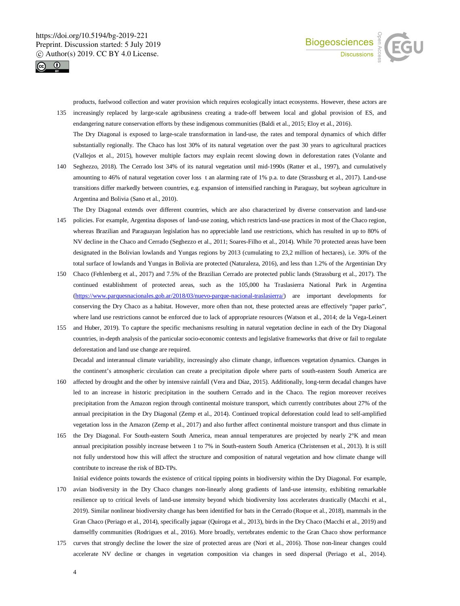



products, fuelwood collection and water provision which requires ecologically intact ecosystems. However, these actors are 135 increasingly replaced by large-scale agribusiness creating a trade-off between local and global provision of ES, and endangering nature conservation efforts by these indigenous communities (Baldi et al., 2015; Eloy et al., 2016).

The Dry Diagonal is exposed to large-scale transformation in land-use, the rates and temporal dynamics of which differ substantially regionally. The Chaco has lost 30% of its natural vegetation over the past 30 years to agricultural practices (Vallejos et al., 2015), however multiple factors may explain recent slowing down in deforestation rates (Volante and

140 Seghezzo, 2018). The Cerrado lost 34% of its natural vegetation until mid-1990s (Ratter et al., 1997), and cumulatively amounting to 46% of natural vegetation cover loss t an alarming rate of 1% p.a. to date (Strassburg et al., 2017). Land-use transitions differ markedly between countries, e.g. expansion of intensified ranching in Paraguay, but soybean agriculture in Argentina and Bolivia (Sano et al., 2010).

The Dry Diagonal extends over different countries, which are also characterized by diverse conservation and land-use

- 145 policies. For example, Argentina disposes of land-use zoning, which restricts land-use practices in most of the Chaco region, whereas Brazilian and Paraguayan legislation has no appreciable land use restrictions, which has resulted in up to 80% of NV decline in the Chaco and Cerrado (Seghezzo et al., 2011; Soares-Filho et al., 2014). While 70 protected areas have been designated in the Bolivian lowlands and Yungas regions by 2013 (cumulating to 23,2 million of hectares), i.e. 30% of the total surface of lowlands and Yungas in Bolivia are protected (Naturaleza, 2016), and less than 1.2% of the Argentinian Dry
- 150 Chaco (Fehlenberg et al., 2017) and 7.5% of the Brazilian Cerrado are protected public lands (Strassburg et al., 2017). The continued establishment of protected areas, such as the 105,000 ha Traslasierra National Park in Argentina (https://www.parquesnacionales.gob.ar/2018/03/nuevo-parque-nacional-traslasierra/) are important developments for conserving the Dry Chaco as a habitat. However, more often than not, these protected areas are effectively "paper parks", where land use restrictions cannot be enforced due to lack of appropriate resources (Watson et al., 2014; de la Vega-Leinert
- 155 and Huber, 2019). To capture the specific mechanisms resulting in natural vegetation decline in each of the Dry Diagonal countries, in-depth analysis of the particular socio-economic contexts and legislative frameworks that drive or fail to regulate deforestation and land use change are required.

Decadal and interannual climate variability, increasingly also climate change, influences vegetation dynamics. Changes in the continent's atmospheric circulation can create a precipitation dipole where parts of south-eastern South America are

- 160 affected by drought and the other by intensive rainfall (Vera and Díaz, 2015). Additionally, long-term decadal changes have led to an increase in historic precipitation in the southern Cerrado and in the Chaco. The region moreover receives precipitation from the Amazon region through continental moisture transport, which currently contributes about 27% of the annual precipitation in the Dry Diagonal (Zemp et al., 2014). Continued tropical deforestation could lead to self-amplified vegetation loss in the Amazon (Zemp et al., 2017) and also further affect continental moisture transport and thus climate in
- 165 the Dry Diagonal. For South-eastern South America, mean annual temperatures are projected by nearly 2°K and mean annual precipitation possibly increase between 1 to 7% in South-eastern South America (Christensen et al., 2013). It is still not fully understood how this will affect the structure and composition of natural vegetation and how climate change will contribute to increase the risk of BD-TPs.
- Initial evidence points towards the existence of critical tipping points in biodiversity within the Dry Diagonal. For example, 170 avian biodiversity in the Dry Chaco changes non-linearly along gradients of land-use intensity, exhibiting remarkable resilience up to critical levels of land-use intensity beyond which biodiversity loss accelerates drastically (Macchi et al., 2019). Similar nonlinear biodiversity change has been identified for bats in the Cerrado (Roque et al., 2018), mammals in the Gran Chaco (Periago et al., 2014), specifically jaguar (Quiroga et al., 2013), birds in the Dry Chaco (Macchi et al., 2019) and damselfly communities (Rodrigues et al., 2016). More broadly, vertebrates endemic to the Gran Chaco show performance
- 175 curves that strongly decline the lower the size of protected areas are (Nori et al., 2016). Those non-linear changes could accelerate NV decline or changes in vegetation composition via changes in seed dispersal (Periago et al., 2014).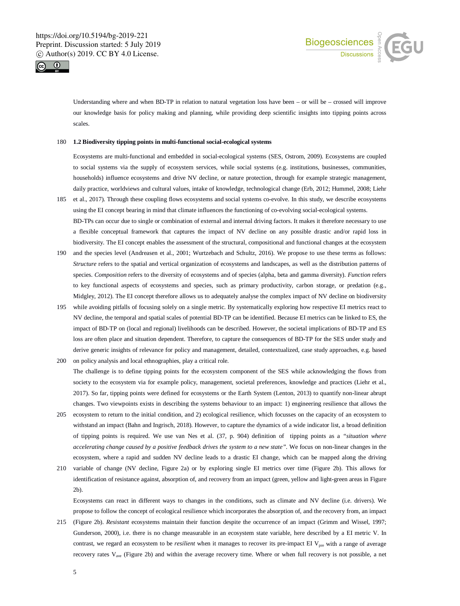



Understanding where and when BD-TP in relation to natural vegetation loss have been – or will be – crossed will improve our knowledge basis for policy making and planning, while providing deep scientific insights into tipping points across scales.

## 180 **1.2 Biodiversity tipping points in multi-functional social-ecological systems**

Ecosystems are multi-functional and embedded in social-ecological systems (SES, Ostrom, 2009). Ecosystems are coupled to social systems via the supply of ecosystem services, while social systems (e.g. institutions, businesses, communities, households) influence ecosystems and drive NV decline, or nature protection, through for example strategic management, daily practice, worldviews and cultural values, intake of knowledge, technological change (Erb, 2012; Hummel, 2008; Liehr

- 185 et al., 2017). Through these coupling flows ecosystems and social systems co-evolve. In this study, we describe ecosystems using the EI concept bearing in mind that climate influences the functioning of co-evolving social-ecological systems. BD-TPs can occur due to single or combination of external and internal driving factors. It makes it therefore necessary to use a flexible conceptual framework that captures the impact of NV decline on any possible drastic and/or rapid loss in biodiversity. The EI concept enables the assessment of the structural, compositional and functional changes at the ecosystem
- 190 and the species level (Andreasen et al., 2001; Wurtzebach and Schultz, 2016). We propose to use these terms as follows: *Structure* refers to the spatial and vertical organization of ecosystems and landscapes, as well as the distribution patterns of species. *Composition* refers to the diversity of ecosystems and of species (alpha, beta and gamma diversity). *Function* refers to key functional aspects of ecosystems and species, such as primary productivity, carbon storage, or predation (e.g., Midgley, 2012). The EI concept therefore allows us to adequately analyse the complex impact of NV decline on biodiversity
- 195 while avoiding pitfalls of focusing solely on a single metric. By systematically exploring how respective EI metrics react to NV decline, the temporal and spatial scales of potential BD-TP can be identified. Because EI metrics can be linked to ES, the impact of BD-TP on (local and regional) livelihoods can be described. However, the societal implications of BD-TP and ES loss are often place and situation dependent. Therefore, to capture the consequences of BD-TP for the SES under study and derive generic insights of relevance for policy and management, detailed, contextualized, case study approaches, e.g. based 200 on policy analysis and local ethnographies, play a critical role.
- The challenge is to define tipping points for the ecosystem component of the SES while acknowledging the flows from society to the ecosystem via for example policy, management, societal preferences, knowledge and practices (Liehr et al., 2017). So far, tipping points were defined for ecosystems or the Earth System (Lenton, 2013) to quantify non-linear abrupt changes. Two viewpoints exists in describing the systems behaviour to an impact: 1) engineering resilience that allows the
- 205 ecosystem to return to the initial condition, and 2) ecological resilience, which focusses on the capacity of an ecosystem to withstand an impact (Bahn and Ingrisch, 2018). However, to capture the dynamics of a wide indicator list, a broad definition of tipping points is required. We use van Nes et al. (37, p. 904) definition of tipping points as a *"situation where accelerating change caused by a positive feedback drives the system to a new state".* We focus on non-linear changes in the ecosystem, where a rapid and sudden NV decline leads to a drastic EI change, which can be mapped along the driving
- 210 variable of change (NV decline, Figure 2a) or by exploring single EI metrics over time (Figure 2b). This allows for identification of resistance against, absorption of, and recovery from an impact (green, yellow and light-green areas in Figure 2b).

Ecosystems can react in different ways to changes in the conditions, such as climate and NV decline (i.e. drivers). We propose to follow the concept of ecological resilience which incorporates the absorption of, and the recovery from, an impact

215 (Figure 2b). *Resistant* ecosystems maintain their function despite the occurrence of an impact (Grimm and Wissel, 1997; Gunderson, 2000), i.e. there is no change measurable in an ecosystem state variable, here described by a EI metric V. In contrast, we regard an ecosystem to be *resilient* when it manages to recover its pre-impact EI V<sub>pre</sub> with a range of average recovery rates V<sub>ave</sub> (Figure 2b) and within the average recovery time. Where or when full recovery is not possible, a net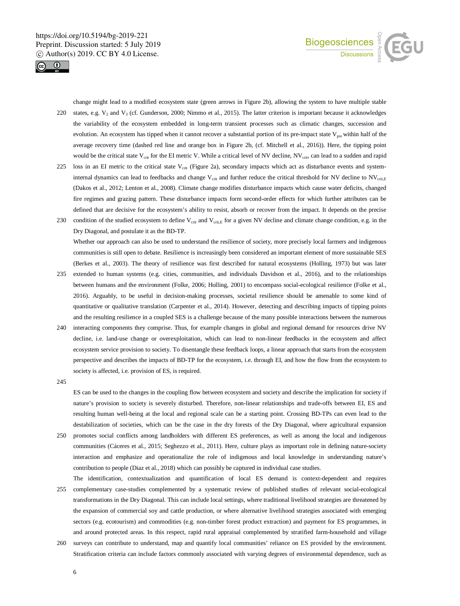



change might lead to a modified ecosystem state (green arrows in Figure 2b), allowing the system to have multiple stable 220 states, e.g.  $V_2$  and  $V_3$  (cf. Gunderson, 2000; Nimmo et al., 2015). The latter criterion is important because it acknowledges the variability of the ecosystem embedded in long-term transient processes such as climatic changes, succession and evolution. An ecosystem has tipped when it cannot recover a substantial portion of its pre-impact state  $V_{\text{pre}}$  within half of the

average recovery time (dashed red line and orange box in Figure 2b, (cf. Mitchell et al., 2016)). Here, the tipping point

would be the critical state V<sub>crit</sub> for the EI metric V. While a critical level of NV decline, NV<sub>crit</sub>, can lead to a sudden and rapid 225 loss in an EI metric to the critical state  $V_{\text{crit}}$  (Figure 2a), secondary impacts which act as disturbance events and systeminternal dynamics can lead to feedbacks and change V<sub>crit</sub> and further reduce the critical threshold for NV decline to NV<sub>crit,E</sub> (Dakos et al., 2012; Lenton et al., 2008). Climate change modifies disturbance impacts which cause water deficits, changed fire regimes and grazing pattern. These disturbance impacts form second-order effects for which further attributes can be defined that are decisive for the ecosystem's ability to resist, absorb or recover from the impact. It depends on the precise

230 condition of the studied ecosystem to define V<sub>crit</sub> and V<sub>crit,E</sub> for a given NV decline and climate change condition, e.g. in the Dry Diagonal, and postulate it as the BD-TP. Whether our approach can also be used to understand the resilience of society, more precisely local farmers and indigenous communities is still open to debate. Resilience is increasingly been considered an important element of more sustainable SES

(Berkes et al., 2003). The theory of resilience was first described for natural ecosystems (Holling, 1973) but was later

- 235 extended to human systems (e.g. cities, communities, and individuals Davidson et al., 2016), and to the relationships between humans and the environment (Folke, 2006; Holling, 2001) to encompass social-ecological resilience (Folke et al., 2016). Arguably, to be useful in decision-making processes, societal resilience should be amenable to some kind of quantitative or qualitative translation (Carpenter et al., 2014). However, detecting and describing impacts of tipping points and the resulting resilience in a coupled SES is a challenge because of the many possible interactions between the numerous
- 240 interacting components they comprise. Thus, for example changes in global and regional demand for resources drive NV decline, i.e. land-use change or overexploitation, which can lead to non-linear feedbacks in the ecosystem and affect ecosystem service provision to society. To disentangle these feedback loops, a linear approach that starts from the ecosystem perspective and describes the impacts of BD-TP for the ecosystem, i.e. through EI, and how the flow from the ecosystem to society is affected, i.e. provision of ES, is required.

245

ES can be used to the changes in the coupling flow between ecosystem and society and describe the implication for society if nature's provision to society is severely disturbed. Therefore, non-linear relationships and trade-offs between EI, ES and resulting human well-being at the local and regional scale can be a starting point. Crossing BD-TPs can even lead to the destabilization of societies, which can be the case in the dry forests of the Dry Diagonal, where agricultural expansion

- 250 promotes social conflicts among landholders with different ES preferences, as well as among the local and indigenous communities (Cáceres et al., 2015; Seghezzo et al., 2011). Here, culture plays as important role in defining nature-society interaction and emphasize and operationalize the role of indigenous and local knowledge in understanding nature's contribution to people (Diaz et al., 2018) which can possibly be captured in individual case studies.
- The identification, contextualization and quantification of local ES demand is context-dependent and requires 255 complementary case-studies complemented by a systematic review of published studies of relevant social-ecological transformations in the Dry Diagonal. This can include local settings, where traditional livelihood strategies are threatened by the expansion of commercial soy and cattle production, or where alternative livelihood strategies associated with emerging sectors (e.g. ecotourism) and commodities (e.g. non-timber forest product extraction) and payment for ES programmes, in and around protected areas. In this respect, rapid rural appraisal complemented by stratified farm-household and village
- 260 surveys can contribute to understand, map and quantify local communities' reliance on ES provided by the environment. Stratification criteria can include factors commonly associated with varying degrees of environmental dependence, such as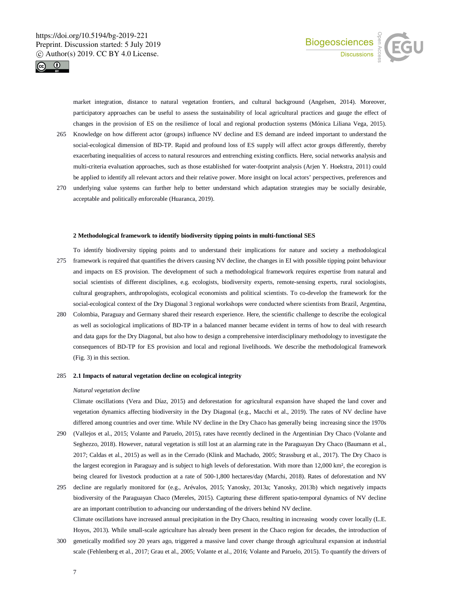



market integration, distance to natural vegetation frontiers, and cultural background (Angelsen, 2014). Moreover, participatory approaches can be useful to assess the sustainability of local agricultural practices and gauge the effect of changes in the provision of ES on the resilience of local and regional production systems (Mónica Liliana Vega, 2015).

- 265 Knowledge on how different actor (groups) influence NV decline and ES demand are indeed important to understand the social-ecological dimension of BD-TP. Rapid and profound loss of ES supply will affect actor groups differently, thereby exacerbating inequalities of access to natural resources and entrenching existing conflicts. Here, social networks analysis and multi-criteria evaluation approaches, such as those established for water-footprint analysis (Arjen Y. Hoekstra, 2011) could be applied to identify all relevant actors and their relative power. More insight on local actors' perspectives, preferences and
- 270 underlying value systems can further help to better understand which adaptation strategies may be socially desirable, acceptable and politically enforceable (Huaranca, 2019).

#### **2 Methodological framework to identify biodiversity tipping points in multi-functional SES**

To identify biodiversity tipping points and to understand their implications for nature and society a methodological 275 framework is required that quantifies the drivers causing NV decline, the changes in EI with possible tipping point behaviour and impacts on ES provision. The development of such a methodological framework requires expertise from natural and social scientists of different disciplines, e.g. ecologists, biodiversity experts, remote-sensing experts, rural sociologists, cultural geographers, anthropologists, ecological economists and political scientists. To co-develop the framework for the

280 Colombia, Paraguay and Germany shared their research experience. Here, the scientific challenge to describe the ecological as well as sociological implications of BD-TP in a balanced manner became evident in terms of how to deal with research and data gaps for the Dry Diagonal, but also how to design a comprehensive interdisciplinary methodology to investigate the consequences of BD-TP for ES provision and local and regional livelihoods. We describe the methodological framework (Fig. 3) in this section.

social-ecological context of the Dry Diagonal 3 regional workshops were conducted where scientists from Brazil, Argentina,

# 285 **2.1 Impacts of natural vegetation decline on ecological integrity**

#### *Natural vegetation decline*

Climate oscillations (Vera and Díaz, 2015) and deforestation for agricultural expansion have shaped the land cover and vegetation dynamics affecting biodiversity in the Dry Diagonal (e.g., Macchi et al., 2019). The rates of NV decline have differed among countries and over time. While NV decline in the Dry Chaco has generally being increasing since the 1970s

290 (Vallejos et al., 2015; Volante and Paruelo, 2015), rates have recently declined in the Argentinian Dry Chaco (Volante and Seghezzo, 2018). However, natural vegetation is still lost at an alarming rate in the Paraguayan Dry Chaco (Baumann et al., 2017; Caldas et al., 2015) as well as in the Cerrado (Klink and Machado, 2005; Strassburg et al., 2017). The Dry Chaco is the largest ecoregion in Paraguay and is subject to high levels of deforestation. With more than 12,000 km², the ecoregion is being cleared for livestock production at a rate of 500-1,800 hectares/day (Marchi, 2018). Rates of deforestation and NV

295 decline are regularly monitored for (e.g., Arévalos, 2015; Yanosky, 2013a; Yanosky, 2013b) which negatively impacts biodiversity of the Paraguayan Chaco (Mereles, 2015). Capturing these different spatio-temporal dynamics of NV decline are an important contribution to advancing our understanding of the drivers behind NV decline. Climate oscillations have increased annual precipitation in the Dry Chaco, resulting in increasing woody cover locally (L.E. Hoyos, 2013). While small-scale agriculture has already been present in the Chaco region for decades, the introduction of

300 genetically modified soy 20 years ago, triggered a massive land cover change through agricultural expansion at industrial scale (Fehlenberg et al., 2017; Grau et al., 2005; Volante et al., 2016; Volante and Paruelo, 2015). To quantify the drivers of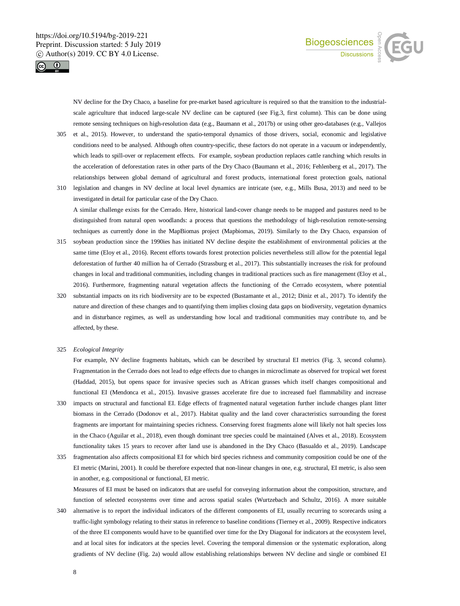



NV decline for the Dry Chaco, a baseline for pre-market based agriculture is required so that the transition to the industrialscale agriculture that induced large-scale NV decline can be captured (see Fig.3, first column). This can be done using remote sensing techniques on high-resolution data (e.g., Baumann et al., 2017b) or using other geo-databases (e.g., Vallejos

- 305 et al., 2015). However, to understand the spatio-temporal dynamics of those drivers, social, economic and legislative conditions need to be analysed. Although often country-specific, these factors do not operate in a vacuum or independently, which leads to spill-over or replacement effects. For example, soybean production replaces cattle ranching which results in the acceleration of deforestation rates in other parts of the Dry Chaco (Baumann et al., 2016; Fehlenberg et al., 2017). The relationships between global demand of agricultural and forest products, international forest protection goals, national
- 310 legislation and changes in NV decline at local level dynamics are intricate (see, e.g., Mills Busa, 2013) and need to be investigated in detail for particular case of the Dry Chaco. A similar challenge exists for the Cerrado. Here, historical land-cover change needs to be mapped and pastures need to be distinguished from natural open woodlands: a process that questions the methodology of high-resolution remote-sensing techniques as currently done in the MapBiomas project (Mapbiomas, 2019). Similarly to the Dry Chaco, expansion of
- 315 soybean production since the 1990ies has initiated NV decline despite the establishment of environmental policies at the same time (Eloy et al., 2016). Recent efforts towards forest protection policies nevertheless still allow for the potential legal deforestation of further 40 million ha of Cerrado (Strassburg et al., 2017). This substantially increases the risk for profound changes in local and traditional communities, including changes in traditional practices such as fire management (Eloy et al., 2016). Furthermore, fragmenting natural vegetation affects the functioning of the Cerrado ecosystem, where potential
- 320 substantial impacts on its rich biodiversity are to be expected (Bustamante et al., 2012; Diniz et al., 2017). To identify the nature and direction of these changes and to quantifying them implies closing data gaps on biodiversity, vegetation dynamics and in disturbance regimes, as well as understanding how local and traditional communities may contribute to, and be affected, by these.

#### 325 *Ecological Integrity*

For example, NV decline fragments habitats, which can be described by structural EI metrics (Fig. 3, second column). Fragmentation in the Cerrado does not lead to edge effects due to changes in microclimate as observed for tropical wet forest (Haddad, 2015), but opens space for invasive species such as African grasses which itself changes compositional and functional EI (Mendonca et al., 2015). Invasive grasses accelerate fire due to increased fuel flammability and increase

- 330 impacts on structural and functional EI. Edge effects of fragmented natural vegetation further include changes plant litter biomass in the Cerrado (Dodonov et al., 2017). Habitat quality and the land cover characteristics surrounding the forest fragments are important for maintaining species richness. Conserving forest fragments alone will likely not halt species loss in the Chaco (Aguilar et al., 2018), even though dominant tree species could be maintained (Alves et al., 2018). Ecosystem functionality takes 15 years to recover after land use is abandoned in the Dry Chaco (Basualdo et al., 2019). Landscape
- 335 fragmentation also affects compositional EI for which bird species richness and community composition could be one of the EI metric (Marini, 2001). It could be therefore expected that non-linear changes in one, e.g. structural, EI metric, is also seen in another, e.g. compositional or functional, EI metric.

Measures of EI must be based on indicators that are useful for conveying information about the composition, structure, and function of selected ecosystems over time and across spatial scales (Wurtzebach and Schultz, 2016). A more suitable

340 alternative is to report the individual indicators of the different components of EI, usually recurring to scorecards using a traffic-light symbology relating to their status in reference to baseline conditions (Tierney et al., 2009). Respective indicators of the three EI components would have to be quantified over time for the Dry Diagonal for indicators at the ecosystem level, and at local sites for indicators at the species level. Covering the temporal dimension or the systematic exploration, along gradients of NV decline (Fig. 2a) would allow establishing relationships between NV decline and single or combined EI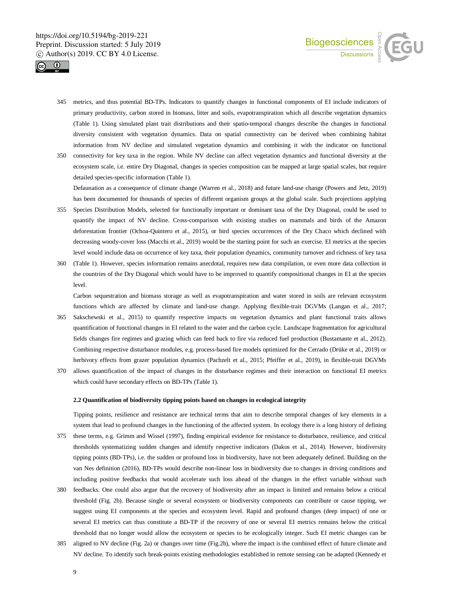



- 345 metrics, and thus potential BD-TPs. Indicators to quantify changes in functional components of EI include indicators of primary productivity, carbon stored in biomass, litter and soils, evapotranspiration which all describe vegetation dynamics (Table 1). Using simulated plant trait distributions and their spatio-temporal changes describe the changes in functional diversity consistent with vegetation dynamics. Data on spatial connectivity can be derived when combining habitat information from NV decline and simulated vegetation dynamics and combining it with the indicator on functional
- 350 connectivity for key taxa in the region. While NV decline can affect vegetation dynamics and functional diversity at the ecosystem scale, i.e. entire Dry Diagonal, changes in species composition can be mapped at large spatial scales, but require detailed species-specific information (Table 1).

Defaunation as a consequence of climate change (Warren et al., 2018) and future land-use change (Powers and Jetz, 2019) has been documented for thousands of species of different organism groups at the global scale. Such projections applying

- 355 Species Distribution Models, selected for functionally important or dominant taxa of the Dry Diagonal, could be used to quantify the impact of NV decline. Cross-comparison with existing studies on mammals and birds of the Amazon deforestation frontier (Ochoa-Quintero et al., 2015), or bird species occurrences of the Dry Chaco which declined with decreasing woody-cover loss (Macchi et al., 2019) would be the starting point for such an exercise. EI metrics at the species level would include data on occurrence of key taxa, their population dynamics, community turnover and richness of key taxa
- 360 (Table 1). However, species information remains anecdotal, requires new data compilation, or even more data collection in the countries of the Dry Diagonal which would have to be improved to quantify compositional changes in EI at the species level.

Carbon sequestration and biomass storage as well as evapotranspiration and water stored in soils are relevant ecosystem functions which are affected by climate and land-use change. Applying flexible-trait DGVMs (Langan et al., 2017;

- 365 Sakschewski et al., 2015) to quantify respective impacts on vegetation dynamics and plant functional traits allows quantification of functional changes in EI related to the water and the carbon cycle. Landscape fragmentation for agricultural fields changes fire regimes and grazing which can feed back to fire via reduced fuel production (Bustamante et al., 2012). Combining respective disturbance modules, e.g. process-based fire models optimized for the Cerrado (Drüke et al., 2019) or herbivory effects from grazer population dynamics (Pachzelt et al., 2015; Pfeiffer et al., 2019), in flexible-trait DGVMs
- 370 allows quantification of the impact of changes in the disturbance regimes and their interaction on functional EI metrics which could have secondary effects on BD-TPs (Table 1).

# **2.2 Quantification of biodiversity tipping points based on changes in ecological integrity**

Tipping points, resilience and resistance are technical terms that aim to describe temporal changes of key elements in a system that lead to profound changes in the functioning of the affected system. In ecology there is a long history of defining

- 375 these terms, e.g. Grimm and Wissel (1997), finding empirical evidence for resistance to disturbance, resilience, and critical thresholds systematizing sudden changes and identify respective indicators (Dakos et al., 2014). However, biodiversity tipping points (BD-TPs), i.e. the sudden or profound loss in biodiversity, have not been adequately defined. Building on the van Nes definition (2016), BD-TPs would describe non-linear loss in biodiversity due to changes in driving conditions and including positive feedbacks that would accelerate such loss ahead of the changes in the effect variable without such
- 380 feedbacks. One could also argue that the recovery of biodiversity after an impact is limited and remains below a critical threshold (Fig. 2b). Because single or several ecosystem or biodiversity components can contribute or cause tipping, we suggest using EI components at the species and ecosystem level. Rapid and profound changes (deep impact) of one or several EI metrics can thus constitute a BD-TP if the recovery of one or several EI metrics remains below the critical threshold that no longer would allow the ecosystem or species to be ecologically integer. Such EI metric changes can be
- 385 aligned to NV decline (Fig. 2a) or changes over time (Fig.2b), where the impact is the combined effect of future climate and NV decline. To identify such break-points existing methodologies established in remote sensing can be adapted (Kennedy et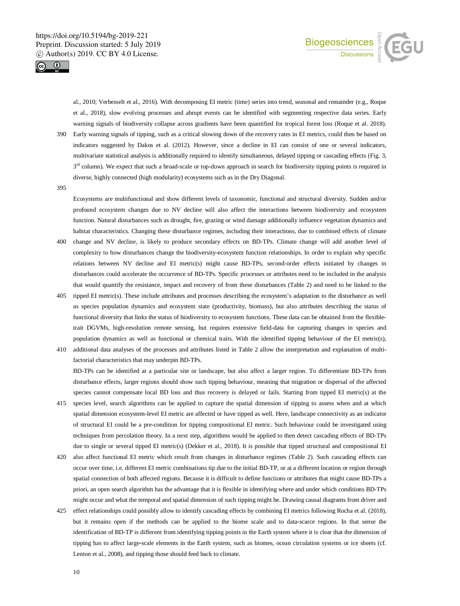



al., 2010; Verbesselt et al., 2016). With decomposing EI metric (time) series into trend, seasonal and remainder (e.g., Roque et al., 2018), slow evolving processes and abrupt events can be identified with segmenting respective data series. Early warning signals of biodiversity collapse across gradients have been quantified for tropical forest loss (Roque et al. 2018).

- 390 Early warning signals of tipping, such as a critical slowing down of the recovery rates in EI metrics, could then be based on indicators suggested by Dakos et al. (2012). However, since a decline in EI can consist of one or several indicators, multivariate statistical analysis is additionally required to identify simultaneous, delayed tipping or cascading effects (Fig. 3,  $3<sup>rd</sup>$  column). We expect that such a broad-scale or top-down approach in search for biodiversity tipping points is required in diverse, highly connected (high modularity) ecosystems such as in the Dry Diagonal.
- 395

Ecosystems are multifunctional and show different levels of taxonomic, functional and structural diversity. Sudden and/or profound ecosystem changes due to NV decline will also affect the interactions between biodiversity and ecosystem function. Natural disturbances such as drought, fire, grazing or wind damage additionally influence vegetation dynamics and habitat characteristics. Changing these disturbance regimes, including their interactions, due to combined effects of climate

- 400 change and NV decline, is likely to produce secondary effects on BD-TPs. Climate change will add another level of complexity to how disturbances change the biodiversity-ecosystem function relationships. In order to explain why specific relations between NV decline and EI metric(s) might cause BD-TPs, second-order effects initiated by changes in disturbances could accelerate the occurrence of BD-TPs. Specific processes or attributes need to be included in the analysis that would quantify the resistance, impact and recovery of from these disturbances (Table 2) and need to be linked to the
- 405 tipped EI metric(s). These include attributes and processes describing the ecosystem's adaptation to the disturbance as well as species population dynamics and ecosystem state (productivity, biomass), but also attributes describing the status of functional diversity that links the status of biodiversity to ecosystem functions. These data can be obtained from the flexibletrait DGVMs, high-resolution remote sensing, but requires extensive field-data for capturing changes in species and population dynamics as well as functional or chemical traits. With the identified tipping behaviour of the EI metric(s),

410 additional data analyses of the processes and attributes listed in Table 2 allow the interpretation and explanation of multifactorial characteristics that may underpin BD-TPs. BD-TPs can be identified at a particular site or landscape, but also affect a larger region. To differentiate BD-TPs from disturbance effects, larger regions should show such tipping behaviour, meaning that migration or dispersal of the affected

species cannot compensate local BD loss and thus recovery is delayed or fails. Starting from tipped EI metric(s) at the

- 415 species level, search algorithms can be applied to capture the spatial dimension of tipping to assess when and at which spatial dimension ecosystem-level EI metric are affected or have tipped as well. Here, landscape connectivity as an indicator of structural EI could be a pre-condition for tipping compositional EI metric. Such behaviour could be investigated using techniques from percolation theory. In a next step, algorithms would be applied to then detect cascading effects of BD-TPs due to single or several tipped EI metric(s) (Dekker et al., 2018). It is possible that tipped structural and compositional EI
- 420 also affect functional EI metric which result from changes in disturbance regimes (Table 2). Such cascading effects can occur over time, i.e. different EI metric combinations tip due to the initial BD-TP, or at a different location or region through spatial connection of both affected regions. Because it is difficult to define functions or attributes that might cause BD-TPs a priori, an open search algorithm has the advantage that it is flexible in identifying where and under which conditions BD-TPs might occur and what the temporal and spatial dimension of such tipping might be. Drawing causal diagrams from driver and
- 425 effect relationships could possibly allow to identify cascading effects by combining EI metrics following Rocha et al. (2018), but it remains open if the methods can be applied to the biome scale and to data-scarce regions. In that sense the identification of BD-TP is different from identifying tipping points in the Earth system where it is clear that the dimension of tipping has to affect large-scale elements in the Earth system, such as biomes, ocean circulation systems or ice sheets (cf. Lenton et al., 2008), and tipping those should feed back to climate.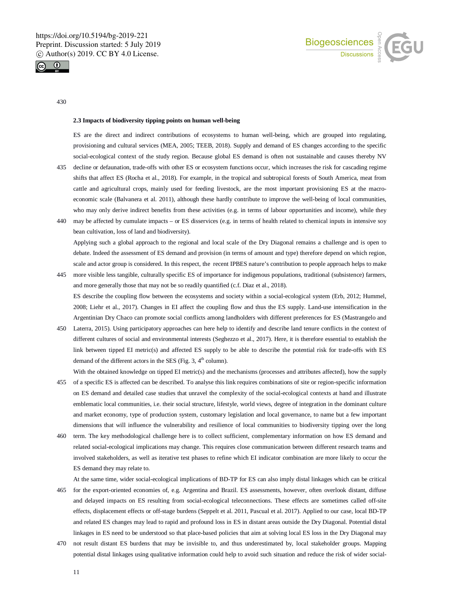



430

#### **2.3 Impacts of biodiversity tipping points on human well-being**

ES are the direct and indirect contributions of ecosystems to human well-being, which are grouped into regulating, provisioning and cultural services (MEA, 2005; TEEB, 2018). Supply and demand of ES changes according to the specific social-ecological context of the study region. Because global ES demand is often not sustainable and causes thereby NV

435 decline or defaunation, trade-offs with other ES or ecosystem functions occur, which increases the risk for cascading regime shifts that affect ES (Rocha et al., 2018). For example, in the tropical and subtropical forests of South America, meat from cattle and agricultural crops, mainly used for feeding livestock, are the most important provisioning ES at the macroeconomic scale (Balvanera et al. 2011), although these hardly contribute to improve the well-being of local communities, who may only derive indirect benefits from these activities (e.g. in terms of labour opportunities and income), while they

440 may be affected by cumulate impacts – or ES disservices (e.g. in terms of health related to chemical inputs in intensive soy bean cultivation, loss of land and biodiversity). Applying such a global approach to the regional and local scale of the Dry Diagonal remains a challenge and is open to debate. Indeed the assessment of ES demand and provision (in terms of amount and type) therefore depend on which region, scale and actor group is considered. In this respect, the recent IPBES nature's contribution to people approach helps to make

- 445 more visible less tangible, culturally specific ES of importance for indigenous populations, traditional (subsistence) farmers, and more generally those that may not be so readily quantified (c.f. Diaz et al., 2018). ES describe the coupling flow between the ecosystems and society within a social-ecological system (Erb, 2012; Hummel, 2008; Liehr et al., 2017). Changes in EI affect the coupling flow and thus the ES supply. Land-use intensification in the Argentinian Dry Chaco can promote social conflicts among landholders with different preferences for ES (Mastrangelo and
- 450 Laterra, 2015). Using participatory approaches can here help to identify and describe land tenure conflicts in the context of different cultures of social and environmental interests (Seghezzo et al., 2017). Here, it is therefore essential to establish the link between tipped EI metric(s) and affected ES supply to be able to describe the potential risk for trade-offs with ES demand of the different actors in the SES (Fig. 3, 4<sup>th</sup> column).

With the obtained knowledge on tipped EI metric(s) and the mechanisms (processes and attributes affected), how the supply

- 455 of a specific ES is affected can be described. To analyse this link requires combinations of site or region-specific information on ES demand and detailed case studies that unravel the complexity of the social-ecological contexts at hand and illustrate emblematic local communities, i.e. their social structure, lifestyle, world views, degree of integration in the dominant culture and market economy, type of production system, customary legislation and local governance, to name but a few important dimensions that will influence the vulnerability and resilience of local communities to biodiversity tipping over the long
- 460 term. The key methodological challenge here is to collect sufficient, complementary information on how ES demand and related social-ecological implications may change. This requires close communication between different research teams and involved stakeholders, as well as iterative test phases to refine which EI indicator combination are more likely to occur the ES demand they may relate to.

At the same time, wider social-ecological implications of BD-TP for ES can also imply distal linkages which can be critical 465 for the export-oriented economies of, e.g. Argentina and Brazil. ES assessments, however, often overlook distant, diffuse and delayed impacts on ES resulting from social-ecological teleconnections. These effects are sometimes called off-site

effects, displacement effects or off-stage burdens (Seppelt et al. 2011, Pascual et al. 2017). Applied to our case, local BD-TP and related ES changes may lead to rapid and profound loss in ES in distant areas outside the Dry Diagonal. Potential distal linkages in ES need to be understood so that place-based policies that aim at solving local ES loss in the Dry Diagonal may

470 not result distant ES burdens that may be invisible to, and thus underestimated by, local stakeholder groups. Mapping potential distal linkages using qualitative information could help to avoid such situation and reduce the risk of wider social-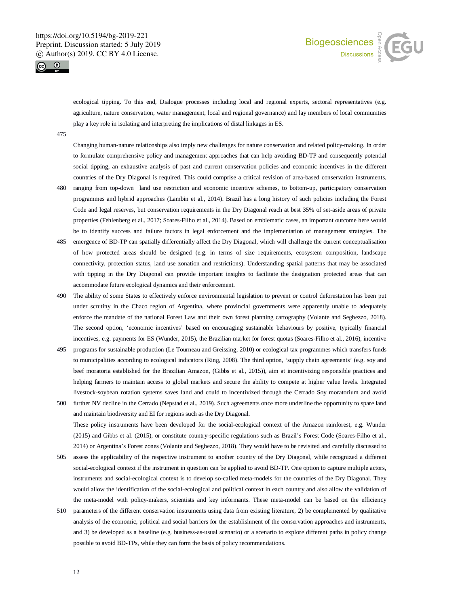

ecological tipping. To this end, Dialogue processes including local and regional experts, sectoral representatives (e.g. agriculture, nature conservation, water management, local and regional governance) and lay members of local communities play a key role in isolating and interpreting the implications of distal linkages in ES.

475

Changing human-nature relationships also imply new challenges for nature conservation and related policy-making. In order to formulate comprehensive policy and management approaches that can help avoiding BD-TP and consequently potential social tipping, an exhaustive analysis of past and current conservation policies and economic incentives in the different countries of the Dry Diagonal is required. This could comprise a critical revision of area-based conservation instruments,

- 480 ranging from top-down land use restriction and economic incentive schemes, to bottom-up, participatory conservation programmes and hybrid approaches (Lambin et al., 2014). Brazil has a long history of such policies including the Forest Code and legal reserves, but conservation requirements in the Dry Diagonal reach at best 35% of set-aside areas of private properties (Fehlenberg et al., 2017; Soares-Filho et al., 2014). Based on emblematic cases, an important outcome here would be to identify success and failure factors in legal enforcement and the implementation of management strategies. The
- 485 emergence of BD-TP can spatially differentially affect the Dry Diagonal, which will challenge the current conceptualisation of how protected areas should be designed (e.g. in terms of size requirements, ecosystem composition, landscape connectivity, protection status, land use zonation and restrictions). Understanding spatial patterns that may be associated with tipping in the Dry Diagonal can provide important insights to facilitate the designation protected areas that can accommodate future ecological dynamics and their enforcement.
- 490 The ability of some States to effectively enforce environmental legislation to prevent or control deforestation has been put under scrutiny in the Chaco region of Argentina, where provincial governments were apparently unable to adequately enforce the mandate of the national Forest Law and their own forest planning cartography (Volante and Seghezzo, 2018). The second option, 'economic incentives' based on encouraging sustainable behaviours by positive, typically financial incentives, e.g. payments for ES (Wunder, 2015), the Brazilian market for forest quotas (Soares-Filho et al., 2016), incentive
- 495 programs for sustainable production (Le Tourneau and Greissing, 2010) or ecological tax programmes which transfers funds to municipalities according to ecological indicators (Ring, 2008). The third option, 'supply chain agreements' (e.g. soy and beef moratoria established for the Brazilian Amazon, (Gibbs et al., 2015)), aim at incentivizing responsible practices and helping farmers to maintain access to global markets and secure the ability to compete at higher value levels. Integrated livestock-soybean rotation systems saves land and could to incentivized through the Cerrado Soy moratorium and avoid
- 500 further NV decline in the Cerrado (Nepstad et al., 2019). Such agreements once more underline the opportunity to spare land and maintain biodiversity and EI for regions such as the Dry Diagonal. These policy instruments have been developed for the social-ecological context of the Amazon rainforest, e.g. Wunder (2015) and Gibbs et al. (2015), or constitute country-specific regulations such as Brazil's Forest Code (Soares-Filho et al., 2014) or Argentina's Forest zones (Volante and Seghezzo, 2018). They would have to be revisited and carefully discussed to
- 505 assess the applicability of the respective instrument to another country of the Dry Diagonal, while recognized a different social-ecological context if the instrument in question can be applied to avoid BD-TP. One option to capture multiple actors, instruments and social-ecological context is to develop so-called meta-models for the countries of the Dry Diagonal. They would allow the identification of the social-ecological and political context in each country and also allow the validation of the meta-model with policy-makers, scientists and key informants. These meta-model can be based on the efficiency
- 510 parameters of the different conservation instruments using data from existing literature, 2) be complemented by qualitative analysis of the economic, political and social barriers for the establishment of the conservation approaches and instruments, and 3) be developed as a baseline (e.g. business-as-usual scenario) or a scenario to explore different paths in policy change possible to avoid BD-TPs, while they can form the basis of policy recommendations.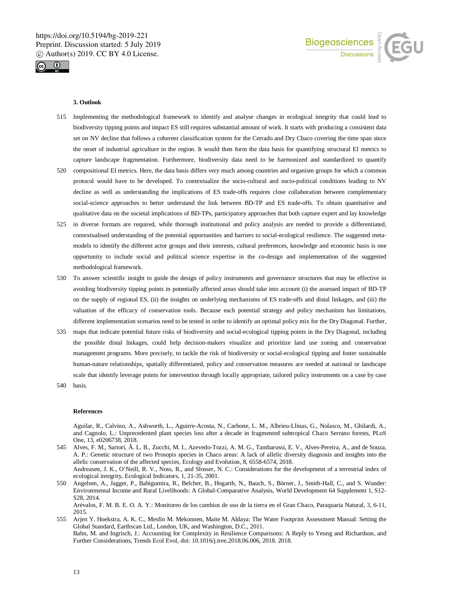



#### **3. Outlook**

- 515 Implementing the methodological framework to identify and analyse changes in ecological integrity that could lead to biodiversity tipping points and impact ES still requires substantial amount of work. It starts with producing a consistent data set on NV decline that follows a coherent classification system for the Cerrado and Dry Chaco covering the time span since the onset of industrial agriculture in the region. It would then form the data basis for quantifying structural EI metrics to capture landscape fragmentation. Furthermore, biodiversity data need to be harmonized and standardized to quantify
- 520 compositional EI metrics. Here, the data basis differs very much among countries and organism groups for which a common protocol would have to be developed. To contextualize the socio-cultural and socio-political conditions leading to NV decline as well as understanding the implications of ES trade-offs requires close collaboration between complementary social-science approaches to better understand the link between BD-TP and ES trade-offs. To obtain quantitative and qualitative data on the societal implications of BD-TPs, participatory approaches that both capture expert and lay knowledge
- 525 in diverse formats are required, while thorough institutional and policy analysis are needed to provide a differentiated, contextualised understanding of the potential opportunities and barriers to social-ecological resilience. The suggested metamodels to identify the different actor groups and their interests, cultural preferences, knowledge and economic basis is one opportunity to include social and political science expertise in the co-design and implementation of the suggested methodological framework.
- 530 To answer scientific insight to guide the design of policy instruments and governance structures that may be effective in avoiding biodiversity tipping points in potentially affected areas should take into account (i) the assessed impact of BD-TP on the supply of regional ES, (ii) the insights on underlying mechanisms of ES trade-offs and distal linkages, and (iii) the valuation of the efficacy of conservation tools. Because each potential strategy and policy mechanism has limitations, different implementation scenarios need to be tested in order to identify an optimal policy mix for the Dry Diagonal. Further,
- 535 maps that indicate potential future risks of biodiversity and social-ecological tipping points in the Dry Diagonal, including the possible distal linkages, could help decision-makers visualize and prioritize land use zoning and conservation management programs. More precisely, to tackle the risk of biodiversity or social-ecological tipping and foster sustainable human-nature relationships, spatially differentiated, policy and conservation measures are needed at national or landscape scale that identify leverage points for intervention through locally appropriate, tailored policy instruments on a case by case
- 540 basis.

### **References**

Aguilar, R., Calvino, A., Ashworth, L., Aguirre-Acosta, N., Carbone, L. M., Albrieu-Llinas, G., Nolasco, M., Ghilardi, A., and Cagnolo, L.: Unprecedented plant species loss after a decade in fragmented subtropical Chaco Serrano forests, PLoS One, 13, e0206738, 2018.

- 545 Alves, F. M., Sartori, Â. L. B., Zucchi, M. I., Azevedo-Tozzi, A. M. G., Tambarussi, E. V., Alves-Pereira, A., and de Souza, A. P.: Genetic structure of two Prosopis species in Chaco areas: A lack of allelic diversity diagnosis and insights into the allelic conservation of the affected species, Ecology and Evolution, 8, 6558-6574, 2018. Andreasen, J. K., O'Neill, R. V., Noss, R., and Slosser, N. C.: Considerations for the development of a terrestrial index of ecological integrity, Ecological Indicators, 1, 21-35, 2001.
- 550 Angelsen, A., Jagger, P., Babigumira, R., Belcher, B., Hogarth, N., Bauch, S., Börner, J., Smith-Hall, C., and S. Wunder: Environmental Income and Rural Livelihoods: A Global-Comparative Analysis, World Development 64 Supplement 1, S12- S28, 2014.

Arévalos, F. M. B. E. O. A. Y.: Monitoreo de los cambios de uso de la tierra en el Gran Chaco, Paraquaria Natural, 3, 6-11, 2015.

555 Arjen Y. Hoekstra, A. K. C., Mesfin M. Mekonnen, Maite M. Aldaya: The Water Footprint Assessment Manual: Setting the Global Standard, Earthscan Ltd., London, UK, and Washington, D.C., 2011. Bahn, M. and Ingrisch, J.: Accounting for Complexity in Resilience Comparisons: A Reply to Yeung and Richardson, and Further Considerations, Trends Ecol Evol, doi: 10.1016/j.tree.2018.06.006, 2018. 2018.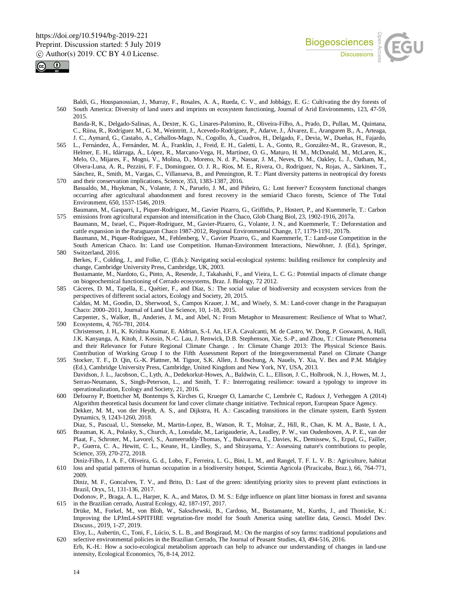



Baldi, G., Houspanossian, J., Murray, F., Rosales, A. A., Rueda, C. V., and Jobbágy, E. G.: Cultivating the dry forests of 560 South America: Diversity of land users and imprints on ecosystem functioning, Journal of Arid Environments, 123, 47-59, 2015.

Banda-R, K., Delgado-Salinas, A., Dexter, K. G., Linares-Palomino, R., Oliveira-Filho, A., Prado, D., Pullan, M., Quintana, C., Riina, R., Rodríguez M., G. M., Weintritt, J., Acevedo-Rodríguez, P., Adarve, J., Álvarez, E., Aranguren B., A., Arteaga, J. C., Aymard, G., Castaño, A., Ceballos-Mago, N., Cogollo, Á., Cuadros, H., Delgado, F., Devia, W., Dueñas, H., Fajardo,

- 565 L., Fernández, Á., Fernández, M. Á., Franklin, J., Freid, E. H., Galetti, L. A., Gonto, R., González-M., R., Graveson, R., Helmer, E. H., Idárraga, Á., López, R., Marcano-Vega, H., Martínez, O. G., Maturo, H. M., McDonald, M., McLaren, K., Melo, O., Mijares, F., Mogni, V., Molina, D., Moreno, N. d. P., Nassar, J. M., Neves, D. M., Oakley, L. J., Oatham, M., Olvera-Luna, A. R., Pezzini, F. F., Dominguez, O. J. R., Ríos, M. E., Rivera, O., Rodríguez, N., Rojas, A., Särkinen, T., Sánchez, R., Smith, M., Vargas, C., Villanueva, B., and Pennington, R. T.: Plant diversity patterns in neotropical dry forests
- 570 and their conservation implications, Science, 353, 1383-1387, 2016. Basualdo, M., Huykman, N., Volante, J. N., Paruelo, J. M., and Piñeiro, G.: Lost forever? Ecosystem functional changes occurring after agricultural abandonment and forest recovery in the semiarid Chaco forests, Science of The Total Environment, 650, 1537-1546, 2019.

Baumann, M., Gasparri, I., Piquer-Rodriguez, M., Gavier Pizarro, G., Griffiths, P., Hostert, P., and Kuemmerle, T.: Carbon 575 emissions from agricultural expansion and intensification in the Chaco, Glob Chang Biol, 23, 1902-1916, 2017a.

- Baumann, M., Israel, C., Piquer-Rodriguez, M., Gavier-Pizarro, G., Volante, J. N., and Kuemmerle, T.: Deforestation and cattle expansion in the Paraguayan Chaco 1987-2012, Regional Environmental Change, 17, 1179-1191, 2017b.
- Baumann, M., Piquer-Rodriguez, M., Fehlenberg, V., Gavier Pizarro, G., and Kuemmerle, T.: Land-use Competition in the South American Chaco. In: Land use Competition. Human-Environment Interactions, Niewöhner, J. (Ed.), Springer, 580 Switzerland, 2016.

Berkes, F., Colding, J., and Folke, C. (Eds.): Navigating social-ecological systems: building resilience for complexity and change, Cambridge University Press, Cambridge, UK, 2003.

Bustamante, M., Nardoto, G., Pinto, A., Resende, J., Takahashi, F., and Vieira, L. C. G.: Potential impacts of climate change on biogeochemical functioning of Cerrado ecosystems, Braz. J. Biology, 72 2012.

585 Cáceres, D. M., Tapella, E., Quétier, F., and Díaz, S.: The social value of biodiversity and ecosystem services from the perspectives of different social actors, Ecology and Society, 20, 2015.

Caldas, M. M., Goodin, D., Sherwood, S., Campos Krauer, J. M., and Wisely, S. M.: Land-cover change in the Paraguayan Chaco: 2000–2011, Journal of Land Use Science, 10, 1-18, 2015.

- Carpenter, S., Walker, B., Anderies, J. M., and Abel, N.: From Metaphor to Measurement: Resilience of What to What?, 590 Ecosystems, 4, 765-781, 2014.
- Christensen, J. H., K. Krishna Kumar, E. Aldrian, S.-I. An, I.F.A. Cavalcanti, M. de Castro, W. Dong, P. Goswami, A. Hall, J.K. Kanyanga, A. Kitoh, J. Kossin, N.-C. Lau, J. Renwick, D.B. Stephenson, Xie, S.-P., and Zhou, T.: Climate Phenomena and their Relevance for Future Regional Climate Change. . In: Climate Change 2013: The Physical Science Basis. Contribution of Working Group I to the Fifth Assessment Report of the Intergovernmental Panel on Climate Change
- 595 Stocker, T. F., D. Qin, G.-K. Plattner, M. Tignor, S.K. Allen, J. Boschung, A. Nauels, Y. Xia, V. Bex and P.M. Midgley (Ed.), Cambridge University Press, Cambridge, United Kingdom and New York, NY, USA, 2013. Davidson, J. L., Jacobson, C., Lyth, A., Dedekorkut-Howes, A., Baldwin, C. L., Ellison, J. C., Holbrook, N. J., Howes, M. J., Serrao-Neumann, S., Singh-Peterson, L., and Smith, T. F.: Interrogating resilience: toward a typology to improve its operationalization, Ecology and Society, 21, 2016.
- 600 Defourny P, Boettcher M, Bontemps S, Kirches G, Krueger O, Lamarche C, Lembrée C, Radoux J, Verheggen A (2014) Algorithm theoretical basis document for land cover climate change initiative. Technical report, European Space Agency. Dekker, M. M., von der Heydt, A. S., and Dijkstra, H. A.: Cascading transitions in the climate system, Earth System Dynamics, 9, 1243-1260, 2018.
- Diaz, S., Pascual, U., Stenseke, M., Martin-Lopez, B., Watson, R. T., Molnar, Z., Hill, R., Chan, K. M. A., Baste, I. A., 605 Brauman, K. A., Polasky, S., Church, A., Lonsdale, M., Larigauderie, A., Leadley, P. W., van Oudenhoven, A. P. E., van der Plaat, F., Schroter, M., Lavorel, S., Aumeeruddy-Thomas, Y., Bukvareva, E., Davies, K., Demissew, S., Erpul, G., Failler, P., Guerra, C. A., Hewitt, C. L., Keune, H., Lindley, S., and Shirayama, Y.: Assessing nature's contributions to people, Science, 359, 270-272, 2018.
- Diniz-Filho, J. A. F., Oliveira, G. d., Lobo, F., Ferreira, L. G., Bini, L. M., and Rangel, T. F. L. V. B.: Agriculture, habitat 610 loss and spatial patterns of human occupation in a biodiversity hotspot, Scientia Agricola (Piracicaba, Braz.), 66, 764-771, 2009.

Diniz, M. F., Goncalves, T. V., and Brito, D.: Last of the green: identifying priority sites to prevent plant extinctions in Brazil, Oryx, 51, 131-136, 2017.

Dodonov, P., Braga, A. L., Harper, K. A., and Matos, D. M. S.: Edge influence on plant litter biomass in forest and savanna 615 in the Brazilian cerrado, Austral Ecology, 42, 187-197, 2017.

- Drüke, M., Forkel, M., von Bloh, W., Sakschewski, B., Cardoso, M., Bustamante, M., Kurths, J., and Thonicke, K.: Improving the LPJmL4-SPITFIRE vegetation-fire model for South America using satellite data, Geosci. Model Dev. Discuss., 2019, 1-27, 2019.
- Eloy, L., Aubertin, C., Toni, F., Lúcio, S. L. B., and Bosgiraud, M.: On the margins of soy farms: traditional populations and 620 selective environmental policies in the Brazilian Cerrado, The Journal of Peasant Studies, 43, 494-516, 2016.
- Erb, K.-H.: How a socio-ecological metabolism approach can help to advance our understanding of changes in land-use intensity, Ecological Economics, 76, 8-14, 2012.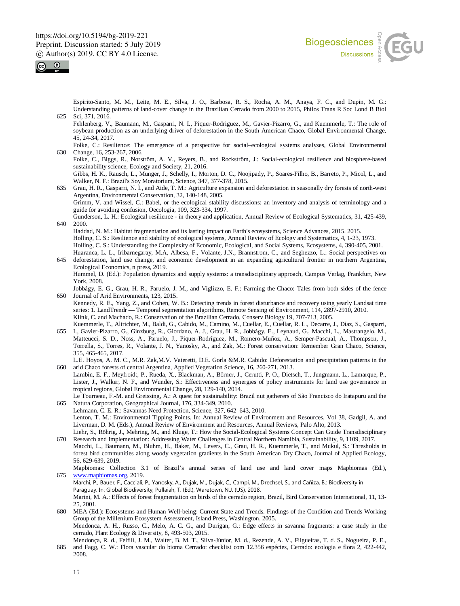



Espirito-Santo, M. M., Leite, M. E., Silva, J. O., Barbosa, R. S., Rocha, A. M., Anaya, F. C., and Dupin, M. G.: Understanding patterns of land-cover change in the Brazilian Cerrado from 2000 to 2015, Philos Trans R Soc Lond B Biol 625 Sci, 371, 2016.

- Fehlenberg, V., Baumann, M., Gasparri, N. I., Piquer-Rodriguez, M., Gavier-Pizarro, G., and Kuemmerle, T.: The role of soybean production as an underlying driver of deforestation in the South American Chaco, Global Environmental Change, 45, 24-34, 2017.
- Folke, C.: Resilience: The emergence of a perspective for social–ecological systems analyses, Global Environmental 630 Change, 16, 253-267, 2006.
	- Folke, C., Biggs, R., Norström, A. V., Reyers, B., and Rockström, J.: Social-ecological resilience and biosphere-based sustainability science, Ecology and Society, 21, 2016.
	- Gibbs, H. K., Rausch, L., Munger, J., Schelly, I., Morton, D. C., Noojipady, P., Soares-Filho, B., Barreto, P., Micol, L., and Walker, N. F.: Brazil's Soy Moratorium, Science, 347, 377-378, 2015.
- 635 Grau, H. R., Gasparri, N. I., and Aide, T. M.: Agriculture expansion and deforestation in seasonally dry forests of north-west Argentina, Environmental Conservation, 32, 140-148, 2005. Grimm, V. and Wissel, C.: Babel, or the ecological stability discussions: an inventory and analysis of terminology and a guide for avoiding confusion, Oecologia, 109, 323-334, 1997.
- Gunderson, L. H.: Ecological resilience in theory and application, Annual Review of Ecological Systematics, 31, 425-439, 640 2000.
- Haddad, N. M.: Habitat fragmentation and its lasting impact on Earth's ecosystems, Science Advances, 2015. 2015. Holling, C. S.: Resilience and stability of ecological systems, Annual Review of Ecology and Systematics, 4, 1-23, 1973. Holling, C. S.: Understanding the Complexity of Economic, Ecological, and Social Systems, Ecosystems, 4, 390-405, 2001. Huaranca, L. L., Iribarnegaray, M.A, Albesa, F., Volante, J.N., Brannstrom, C., and Seghezzo, L.: Social perspectives on
- 645 deforestation, land use change, and economic development in an expanding agricultural frontier in northern Argentina, Ecological Economics, n press, 2019. Hummel, D. (Ed.): Population dynamics and supply systems: a transdisciplinary approach, Campus Verlag, Frankfurt, New York, 2008.
- Jobbágy, E. G., Grau, H. R., Paruelo, J. M., and Viglizzo, E. F.: Farming the Chaco: Tales from both sides of the fence 650 Journal of Arid Environments, 123, 2015.
- Kennedy, R. E., Yang, Z., and Cohen, W. B.: Detecting trends in forest disturbance and recovery using yearly Landsat time series: 1. LandTrendr — Temporal segmentation algorithms, Remote Sensing of Environment, 114, 2897-2910, 2010. Klink, C. and Machado, R.: Conservation of the Brazilian Cerrado, Conserv Biology 19, 707-713, 2005.
- Kuemmerle, T., Altrichter, M., Baldi, G., Cabido, M., Camino, M., Cuellar, E., Cuellar, R. L., Decarre, J., Díaz, S., Gasparri, 655 I., Gavier-Pizarro, G., Ginzburg, R., Giordano, A. J., Grau, H. R., Jobbágy, E., Leynaud, G., Macchi, L., Mastrangelo, M., Matteucci, S. D., Noss, A., Paruelo, J., Piquer-Rodríguez, M., Romero-Muñoz, A., Semper-Pascual, A., Thompson, J., Torrella, S., Torres, R., Volante, J. N., Yanosky, A., and Zak, M.: Forest conservation: Remember Gran Chaco, Science, 355, 465-465, 2017.
- L.E. Hoyos, A. M. C., M.R. Zak,M.V. Vaieretti, D.E. Gorla &M.R. Cabido: Deforestation and precipitation patterns in the 660 arid Chaco forests of central Argentina, Applied Vegetation Science, 16, 260-271, 2013.
- Lambin, E. F., Meyfroidt, P., Rueda, X., Blackman, A., Börner, J., Cerutti, P. O., Dietsch, T., Jungmann, L., Lamarque, P., Lister, J., Walker, N. F., and Wunder, S.: Effectiveness and synergies of policy instruments for land use governance in tropical regions, Global Environmental Change, 28, 129-140, 2014.
- Le Tourneau, F.-M. and Greissing, A.: A quest for sustainability: Brazil nut gatherers of São Francisco do Iratapuru and the 665 Natura Corporation, Geographical Journal, 176, 334-349, 2010. Lehmann, C. E. R.: Savannas Need Protection, Science, 327, 642–643, 2010.

Lenton, T. M.: Environmental Tipping Points. In: Annual Review of Environment and Resources, Vol 38, Gadgil, A. and Liverman, D. M. (Eds.), Annual Review of Environment and Resources, Annual Reviews, Palo Alto, 2013.

- Liehr, S., Röhrig, J., Mehring, M., and Kluge, T.: How the Social-Ecological Systems Concept Can Guide Transdisciplinary 670 Research and Implementation: Addressing Water Challenges in Central Northern Namibia, Sustainability, 9, 1109, 2017. Macchi, L., Baumann, M., Bluhm, H., Baker, M., Levers, C., Grau, H. R., Kuemmerle, T., and Mukul, S.: Thresholds in
- forest bird communities along woody vegetation gradients in the South American Dry Chaco, Journal of Applied Ecology, 56, 629-639, 2019.
- Mapbiomas: Collection 3.1 of Brazil's annual series of land use and land cover maps Mapbiomas (Ed.), 675 www.mapbiomas.org, 2019.

Marchi, P., Bauer, F., Cacciali, P., Yanosky, A., Dujak, M., Dujak, C., Campi, M., Drechsel, S., and Cañiza, B.: Biodiversity in Paraguay. In: Global Biodiversity, Pullaiah, T. (Ed.), Waretown, N.J. (US), 2018. Marini, M. A.: Effects of forest fragmentation on birds of the cerrado region, Brazil, Bird Conservation International, 11, 13- 25, 2001.

- 680 MEA (Ed.): Ecosystems and Human Well-being: Current State and Trends. Findings of the Condition and Trends Working Group of the Millenium Ecosystem Assessment, Island Press, Washington, 2005.
	- Mendonca, A. H., Russo, C., Melo, A. C. G., and Durigan, G.: Edge effects in savanna fragments: a case study in the cerrado, Plant Ecology & Diversity, 8, 493-503, 2015.
- Mendonça, R. d., Felfili, J. M., Walter, B. M. T., Silva-Júnior, M. d., Rezende, A. V., Filgueiras, T. d. S., Nogueira, P. E., 685 and Fagg, C. W.: Flora vascular do bioma Cerrado: checklist com 12.356 espécies, Cerrado: ecologia e flora 2, 422-442, 2008.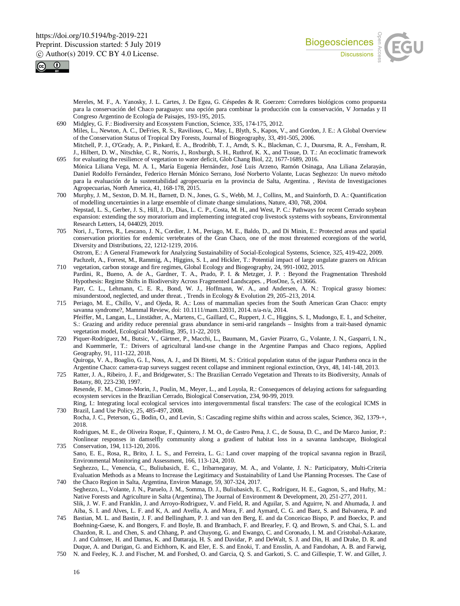



Mereles, M. F., A. Yanosky, J. L. Cartes, J. De Egea, G. Céspedes & R. Goerzen: Corredores biológicos como propuesta para la conservación del Chaco paraguayo: una opción para combinar la producción con la conservación, V Jornadas y II Congreso Argentino de Ecología de Paisajes, 193-195, 2015.

- 690 Midgley, G. F.: Biodiversity and Ecosystem Function, Science, 335, 174-175, 2012. Miles, L., Newton, A. C., DeFries, R. S., Ravilious, C., May, I., Blyth, S., Kapos, V., and Gordon, J. E.: A Global Overview of the Conservation Status of Tropical Dry Forests, Journal of Biogeography, 33, 491-505, 2006. Mitchell, P. J., O'Grady, A. P., Pinkard, E. A., Brodribb, T. J., Arndt, S. K., Blackman, C. J., Duursma, R. A., Fensham, R. J., Hilbert, D. W., Nitschke, C. R., Norris, J., Roxburgh, S. H., Ruthrof, K. X., and Tissue, D. T.: An ecoclimatic framework
- 695 for evaluating the resilience of vegetation to water deficit, Glob Chang Biol, 22, 1677-1689, 2016. Mónica Liliana Vega, M. A. I., María Eugenia Hernández, José Luis Arzeno, Ramón Osinaga, Ana Liliana Zelarayán, Daniel Rodolfo Fernández, Federico Hernán Mónico Serrano, José Norberto Volante, Lucas Seghezzo: Un nuevo método para la evaluación de la sustentabilidad agropecuaria en la provincia de Salta, Argentina. , Revista de Investigaciones Agropecuarias, North America, 41, 168-178, 2015.
- 700 Murphy, J. M., Sexton, D. M. H., Barnett, D. N., Jones, G. S., Webb, M. J., Collins, M., and Stainforth, D. A.: Quantification of modelling uncertainties in a large ensemble of climate change simulations, Nature, 430, 768, 2004. Nepstad, L. S., Gerber, J. S., Hill, J. D., Dias, L. C. P., Costa, M. H., and West, P. C.: Pathways for recent Cerrado soybean expansion: extending the soy moratorium and implementing integrated crop livestock systems with soybeans, Environmental Research Letters, 14, 044029, 2019.
- 705 Nori, J., Torres, R., Lescano, J. N., Cordier, J. M., Periago, M. E., Baldo, D., and Di Minin, E.: Protected areas and spatial conservation priorities for endemic vertebrates of the Gran Chaco, one of the most threatened ecoregions of the world, Diversity and Distributions, 22, 1212-1219, 2016. Ostrom, E.: A General Framework for Analyzing Sustainability of Social-Ecological Systems, Science, 325, 419-422, 2009.

Pachzelt, A., Forrest, M., Rammig, A., Higgins, S. I., and Hickler, T.: Potential impact of large ungulate grazers on African 710 vegetation, carbon storage and fire regimes, Global Ecology and Biogeography, 24, 991-1002, 2015. Pardini, R., Bueno, A. de A., Gardner, T. A., Prado, P. I. & Metzger, J. P. : Beyond the Fragmentation Threshold

- Hypothesis: Regime Shifts in Biodiversity Across Fragmented Landscapes. , PlosOne, 5, e13666. Parr, C. L., Lehmann, C. E. R., Bond, W. J., Hoffmann, W. A., and Andersen, A. N.: Tropical grassy biomes: misunderstood, neglected, and under threat. , Trends in Ecology & Evolution 29, 205–213, 2014.
- 715 Periago, M. E., Chillo, V., and Ojeda, R. A.: Loss of mammalian species from the South American Gran Chaco: empty savanna syndrome?, Mammal Review, doi: 10.1111/mam.12031, 2014. n/a-n/a, 2014. Pfeiffer, M., Langan, L., Linstädter, A., Martens, C., Gaillard, C., Ruppert, J. C., Higgins, S. I., Mudongo, E. I., and Scheiter, S.: Grazing and aridity reduce perennial grass abundance in semi-arid rangelands – Insights from a trait-based dynamic vegetation model, Ecological Modelling, 395, 11-22, 2019.
- 720 Piquer-Rodríguez, M., Butsic, V., Gärtner, P., Macchi, L., Baumann, M., Gavier Pizarro, G., Volante, J. N., Gasparri, I. N., and Kuemmerle, T.: Drivers of agricultural land-use change in the Argentine Pampas and Chaco regions, Applied Geography, 91, 111-122, 2018. Quiroga, V. A., Boaglio, G. I., Noss, A. J., and Di Bitetti, M. S.: Critical population status of the jaguar Panthera onca in the
- Argentine Chaco: camera-trap surveys suggest recent collapse and imminent regional extinction, Oryx, 48, 141-148, 2013. 725 Ratter, J. A., Ribeiro, J. F., and Bridgewater, S.: The Brazilian Cerrado Vegetation and Threats to its Biodiversity, Annals of Botany, 80, 223-230, 1997. Resende, F. M., Cimon-Morin, J., Poulin, M., Meyer, L., and Loyola, R.: Consequences of delaying actions for safeguarding ecosystem services in the Brazilian Cerrado, Biological Conservation, 234, 90-99, 2019. Ring, I.: Integrating local ecological services into intergovernmental fiscal transfers: The case of the ecological ICMS in
- 730 Brazil, Land Use Policy, 25, 485-497, 2008. Rocha, J. C., Peterson, G., Bodin, O., and Levin, S.: Cascading regime shifts within and across scales, Science, 362, 1379-+, 2018.

Rodrigues, M. E., de Oliveira Roque, F., Quintero, J. M. O., de Castro Pena, J. C., de Sousa, D. C., and De Marco Junior, P.: Nonlinear responses in damselfly community along a gradient of habitat loss in a savanna landscape, Biological Conservation, 194, 113-120, 2016.

Sano, E. E., Rosa, R., Brito, J. L. S., and Ferreira, L. G.: Land cover mapping of the tropical savanna region in Brazil, Environmental Monitoring and Assessment, 166, 113-124, 2010.

Seghezzo, L., Venencia, C., Buliubasich, E. C., Iribarnegaray, M. A., and Volante, J. N.: Participatory, Multi-Criteria Evaluation Methods as a Means to Increase the Legitimacy and Sustainability of Land Use Planning Processes. The Case of 740 the Chaco Region in Salta, Argentina, Environ Manage, 59, 307-324, 2017.

Seghezzo, L., Volante, J. N., Paruelo, J. M., Somma, D. J., Buliubasich, E. C., Rodríguez, H. E., Gagnon, S., and Hufty, M.: Native Forests and Agriculture in Salta (Argentina), The Journal of Environment & Development, 20, 251-277, 2011. Slik, J. W. F. and Franklin, J. and Arroyo-Rodriguez, V. and Field, R. and Aguilar, S. and Aguirre, N. and Ahumada, J. and

Aiba, S. I. and Alves, L. F. and K, A. and Avella, A. and Mora, F. and Aymard, C. G. and Baez, S. and Balvanera, P. and 745 Bastian, M. L. and Bastin, J. F. and Bellingham, P. J. and van den Berg, E. and da Conceicao Bispo, P. and Boeckx, P. and Boehning-Gaese, K. and Bongers, F. and Boyle, B. and Brambach, F. and Brearley, F. Q. and Brown, S. and Chai, S. L. and

- Chazdon, R. L. and Chen, S. and Chhang, P. and Chuyong, G. and Ewango, C. and Coronado, I. M. and Cristobal-Azkarate, J. and Culmsee, H. and Damas, K. and Dattaraja, H. S. and Davidar, P. and DeWalt, S. J. and Din, H. and Drake, D. R. and Duque, A. and Durigan, G. and Eichhorn, K. and Eler, E. S. and Enoki, T. and Ensslin, A. and Fandohan, A. B. and Farwig,
- 750 N. and Feeley, K. J. and Fischer, M. and Forshed, O. and Garcia, Q. S. and Garkoti, S. C. and Gillespie, T. W. and Gillet, J.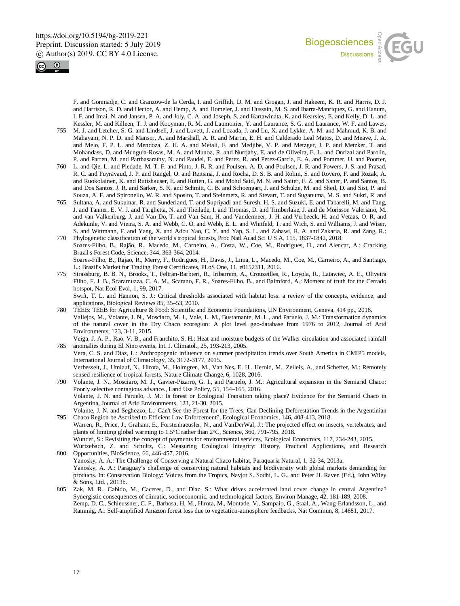



F. and Gonmadje, C. and Granzow-de la Cerda, I. and Griffith, D. M. and Grogan, J. and Hakeem, K. R. and Harris, D. J. and Harrison, R. D. and Hector, A. and Hemp, A. and Homeier, J. and Hussain, M. S. and Ibarra-Manriquez, G. and Hanum, I. F. and Imai, N. and Jansen, P. A. and Joly, C. A. and Joseph, S. and Kartawinata, K. and Kearsley, E. and Kelly, D. L. and Kessler, M. and Killeen, T. J. and Kooyman, R. M. and Laumonier, Y. and Laurance, S. G. and Laurance, W. F. and Lawes,

- 755 M. J. and Letcher, S. G. and Lindsell, J. and Lovett, J. and Lozada, J. and Lu, X. and Lykke, A. M. and Mahmud, K. B. and Mahayani, N. P. D. and Mansor, A. and Marshall, A. R. and Martin, E. H. and Calderado Leal Matos, D. and Meave, J. A. and Melo, F. P. L. and Mendoza, Z. H. A. and Metali, F. and Medjibe, V. P. and Metzger, J. P. and Metzker, T. and Mohandass, D. and Munguia-Rosas, M. A. and Munoz, R. and Nurtjahy, E. and de Oliveira, E. L. and Onrizal and Parolin, P. and Parren, M. and Parthasarathy, N. and Paudel, E. and Perez, R. and Perez-Garcia, E. A. and Pommer, U. and Poorter,
- 760 L. and Qie, L. and Piedade, M. T. F. and Pinto, J. R. R. and Poulsen, A. D. and Poulsen, J. R. and Powers, J. S. and Prasad, R. C. and Puyravaud, J. P. and Rangel, O. and Reitsma, J. and Rocha, D. S. B. and Rolim, S. and Rovero, F. and Rozak, A. and Ruokolainen, K. and Rutishauser, E. and Rutten, G. and Mohd Said, M. N. and Saiter, F. Z. and Saner, P. and Santos, B. and Dos Santos, J. R. and Sarker, S. K. and Schmitt, C. B. and Schoengart, J. and Schulze, M. and Sheil, D. and Sist, P. and Souza, A. F. and Spironello, W. R. and Sposito, T. and Steinmetz, R. and Stevart, T. and Suganuma, M. S. and Sukri, R. and
- 765 Sultana, A. and Sukumar, R. and Sunderland, T. and Supriyadi and Suresh, H. S. and Suzuki, E. and Tabarelli, M. and Tang, J. and Tanner, E. V. J. and Targhetta, N. and Theilade, I. and Thomas, D. and Timberlake, J. and de Morisson Valeriano, M. and van Valkenburg, J. and Van Do, T. and Van Sam, H. and Vandermeer, J. H. and Verbeeck, H. and Vetaas, O. R. and Adekunle, V. and Vieira, S. A. and Webb, C. O. and Webb, E. L. and Whitfeld, T. and Wich, S. and Williams, J. and Wiser, S. and Wittmann, F. and Yang, X. and Adou Yao, C. Y. and Yap, S. L. and Zahawi, R. A. and Zakaria, R. and Zang, R.:
- 770 Phylogenetic classification of the world's tropical forests, Proc Natl Acad Sci U S A, 115, 1837-1842, 2018. Soares-Filho, B., Rajão, R., Macedo, M., Carneiro, A., Costa, W., Coe, M., Rodrigues, H., and Alencar, A.: Cracking Brazil's Forest Code, Science, 344, 363-364, 2014. Soares-Filho, B., Rajao, R., Merry, F., Rodrigues, H., Davis, J., Lima, L., Macedo, M., Coe, M., Carneiro, A., and Santiago, L.: Brazil's Market for Trading Forest Certificates, PLoS One, 11, e0152311, 2016.
- 775 Strassburg, B. B. N., Brooks, T., Feltran-Barbieri, R., Iribarrem, A., Crouzeilles, R., Loyola, R., Latawiec, A. E., Oliveira Filho, F. J. B., Scaramuzza, C. A. M., Scarano, F. R., Soares-Filho, B., and Balmford, A.: Moment of truth for the Cerrado hotspot, Nat Ecol Evol, 1, 99, 2017.

Swift, T. L. and Hannon, S. J.: Critical thresholds associated with habitat loss: a review of the concepts, evidence, and applications, Biological Reviews 85, 35–53, 2010.

780 TEEB: TEEB for Agriculture & Food: Scientific and Economic Foundations, UN Environment, Geneva, 414 pp., 2018. Vallejos, M., Volante, J. N., Mosciaro, M. J., Vale, L. M., Bustamante, M. L., and Paruelo, J. M.: Transformation dynamics of the natural cover in the Dry Chaco ecoregion: A plot level geo-database from 1976 to 2012, Journal of Arid Environments, 123, 3-11, 2015.

Veiga, J. A. P., Rao, V. B., and Franchito, S. H.: Heat and moisture budgets of the Walker circulation and associated rainfall 785 anomalies during El Nino events, Int. J. Climatol., 25, 193-213, 2005.

Vera, C. S. and Díaz, L.: Anthropogenic influence on summer precipitation trends over South America in CMIP5 models, International Journal of Climatology, 35, 3172-3177, 2015. Verbesselt, J., Umlauf, N., Hirota, M., Holmgren, M., Van Nes, E. H., Herold, M., Zeileis, A., and Scheffer, M.: Remotely sensed resilience of tropical forests, Nature Climate Change, 6, 1028, 2016.

- 790 Volante, J. N., Mosciaro, M. J., Gavier-Pizarro, G. I., and Paruelo, J. M.: Agricultural expansion in the Semiarid Chaco: Poorly selective contagious advance., Land Use Policy, 55, 154–165, 2016. Volante, J. N. and Paruelo, J. M.: Is forest or Ecological Transition taking place? Evidence for the Semiarid Chaco in Argentina, Journal of Arid Environments, 123, 21-30, 2015. Volante, J. N. and Seghezzo, L.: Can't See the Forest for the Trees: Can Declining Deforestation Trends in the Argentinian
- 795 Chaco Region be Ascribed to Efficient Law Enforcement?, Ecological Economics, 146, 408-413, 2018. Warren, R., Price, J., Graham, E., Forstenhaeusler, N., and VanDerWal, J.: The projected effect on insects, vertebrates, and plants of limiting global warming to 1.5°C rather than 2°C, Science, 360, 791-795, 2018. Wunder, S.: Revisiting the concept of payments for environmental services, Ecological Economics, 117, 234-243, 2015. Wurtzebach, Z. and Schultz, C.: Measuring Ecological Integrity: History, Practical Applications, and Research
- 800 Opportunities, BioScience, 66, 446-457, 2016. Yanosky, A. A.: The Challenge of Conserving a Natural Chaco habitat, Paraquaria Natural, 1, 32-34, 2013a. Yanosky, A. A.: Paraguay's challenge of conserving natural habitats and biodiversity with global markets demanding for products. In: Conservation Biology: Voices from the Tropics, Navjot S. Sodhi, L. G., and Peter H. Raven (Ed.), John Wiley & Sons, Ltd. , 2013b.
- 805 Zak, M. R., Cabido, M., Caceres, D., and Diaz, S.: What drives accelerated land cover change in central Argentina? Synergistic consequences of climatic, socioeconomic, and technological factors, Environ Manage, 42, 181-189, 2008. Zemp, D. C., Schleussner, C. F., Barbosa, H. M., Hirota, M., Montade, V., Sampaio, G., Staal, A., Wang-Erlandsson, L., and Rammig, A.: Self-amplified Amazon forest loss due to vegetation-atmosphere feedbacks, Nat Commun, 8, 14681, 2017.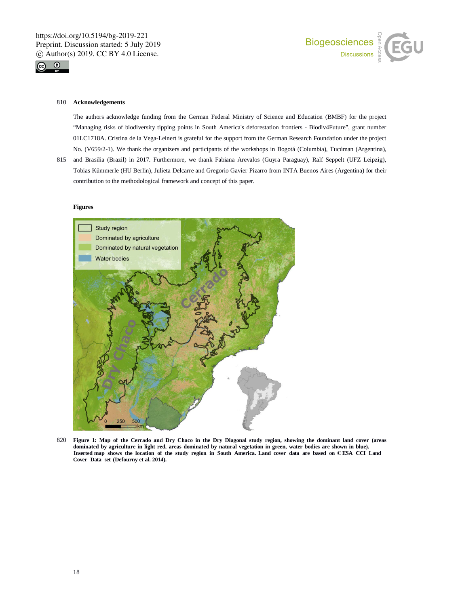



# 810 **Acknowledgements**

The authors acknowledge funding from the German Federal Ministry of Science and Education (BMBF) for the project "Managing risks of biodiversity tipping points in South America's deforestation frontiers - Biodiv4Future", grant number 01LC1718A. Cristina de la Vega-Leinert is grateful for the support from the German Research Foundation under the project No. (V659/2-1). We thank the organizers and participants of the workshops in Bogotá (Columbia), Tucúman (Argentina), 815 and Brasilia (Brazil) in 2017. Furthermore, we thank Fabiana Arevalos (Guyra Paraguay), Ralf Seppelt (UFZ Leipzig), Tobias Kümmerle (HU Berlin), Julieta Delcarre and Gregorio Gavier Pizarro from INTA Buenos Aires (Argentina) for their

**Figures**





contribution to the methodological framework and concept of this paper.

820 **Figure 1: Map of the Cerrado and Dry Chaco in the Dry Diagonal study region, showing the dominant land cover (areas dominated by agriculture in light red, areas dominated by natural vegetation in green, water bodies are shown in blue). Inserted map shows the location of the study region in South America. Land cover data are based on ©ESA CCI Land Cover Data set (Defourny et al. 2014).**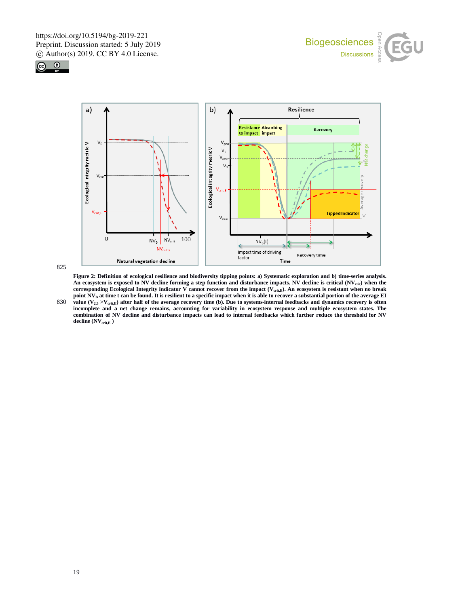





825

**Figure 2: Definition of ecological resilience and biodiversity tipping points: a) Systematic exploration and b) time-series analysis.**  An ecosystem is exposed to NV decline forming a step function and disturbance impacts. NV decline is critical (NV<sub>crit</sub>) when the **corresponding Ecological Integrity indicator V cannot recover from the impact (Vcrit,E). An ecosystem is resistant when no break**  point NV<sub>B</sub> at time t can be found. It is resilient to a specific impact when it is able to recover a substantial portion of the average EI<br>830 value (V<sub>2,3</sub> >V<sub>crit,E</sub>) after half of the average recovery time (b). Due to **incomplete and a net change remains, accounting for variability in ecosystem response and multiple ecosystem states. The combination of NV decline and disturbance impacts can lead to internal feedbacks which further reduce the threshold for NV decline (NVcrit,E )**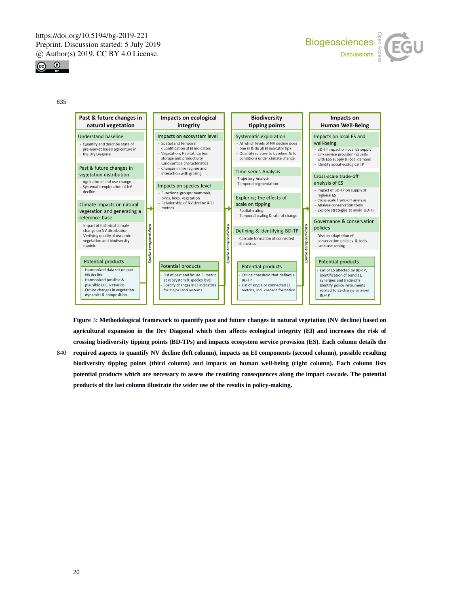







**Figure** 3**: Methodological framework to quantify past and future changes in natural vegetation (NV decline) based on agricultural expansion in the Dry Diagonal which then affects ecological integrity (EI) and increases the risk of crossing biodiversity tipping points (BD-TPs) and impacts ecosystem service provision (ES). Each column details the** 

840 **required aspects to quantify NV decline (left column), impacts on EI components (second column), possible resulting biodiversity tipping points (third column) and impacts on human well-being (right column). Each column lists potential products which are necessary to assess the resulting consequences along the impact cascade. The potential products of the last column illustrate the wider use of the results in policy-making.**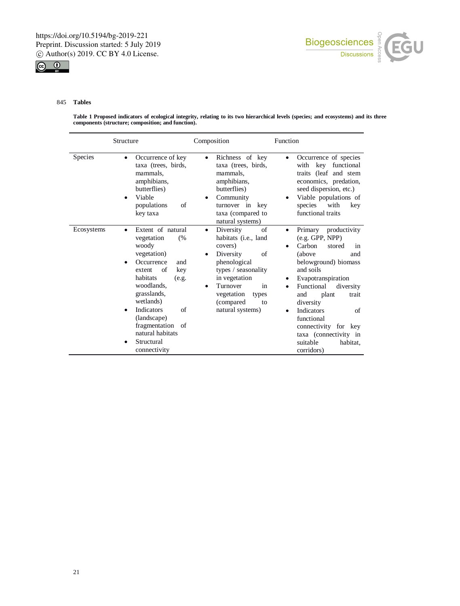



# 845 **Tables**

**Table 1 Proposed indicators of ecological integrity, relating to its two hierarchical levels (species; and ecosystems) and its three components (structure; composition; and function).**

| Structure  |                                                                                                                                                                                                                                                                                                                      | Composition                                                                                                                                                                                                                         | Function                                                                                                                                                                                                                                                                                                                                                    |  |
|------------|----------------------------------------------------------------------------------------------------------------------------------------------------------------------------------------------------------------------------------------------------------------------------------------------------------------------|-------------------------------------------------------------------------------------------------------------------------------------------------------------------------------------------------------------------------------------|-------------------------------------------------------------------------------------------------------------------------------------------------------------------------------------------------------------------------------------------------------------------------------------------------------------------------------------------------------------|--|
| Species    | Occurrence of key<br>$\bullet$<br>taxa (trees, birds,<br>mammals.<br>amphibians,<br>butterflies)<br>Viable<br>$\bullet$<br>populations<br>of<br>key taxa                                                                                                                                                             | Richness of key<br>taxa (trees, birds,<br>mammals.<br>amphibians,<br>butterflies)<br>Community<br>turnover in key<br>taxa (compared to<br>natural systems)                                                                          | Occurrence of species<br>$\bullet$<br>functional<br>with<br>key<br>traits (leaf and stem<br>economics, predation,<br>seed dispersion, etc.)<br>Viable populations of<br>species<br>with<br>key<br>functional traits                                                                                                                                         |  |
| Ecosystems | Extent of natural<br>$\bullet$<br>vegetation<br>(%<br>woody<br>vegetation)<br>Occurrence<br>and<br>٠<br>of<br>extent<br>key<br>habitats<br>(e.g.<br>woodlands.<br>grasslands,<br>wetlands)<br><b>Indicators</b><br>of<br>٠<br>(landscape)<br>fragmentation of<br>natural habitats<br>Structural<br>٠<br>connectivity | Diversity<br>of<br>$\bullet$<br>habitats ( <i>i.e.</i> , land<br>covers)<br>Diversity<br>of<br>phenological<br>types / seasonality<br>in vegetation<br>Turnover<br>in<br>vegetation<br>types<br>(compared<br>to<br>natural systems) | productivity<br>Primary<br>٠<br>(e.g. GPP, NPP)<br>Carbon<br>stored<br>in<br>(above<br>and<br>belowground) biomass<br>and soils<br>Evapotranspiration<br>Functional<br>diversity<br>plant<br>and<br>trait<br>diversity<br><b>Indicators</b><br>of<br>٠<br>functional<br>connectivity for key<br>taxa (connectivity in<br>suitable<br>habitat,<br>corridors) |  |